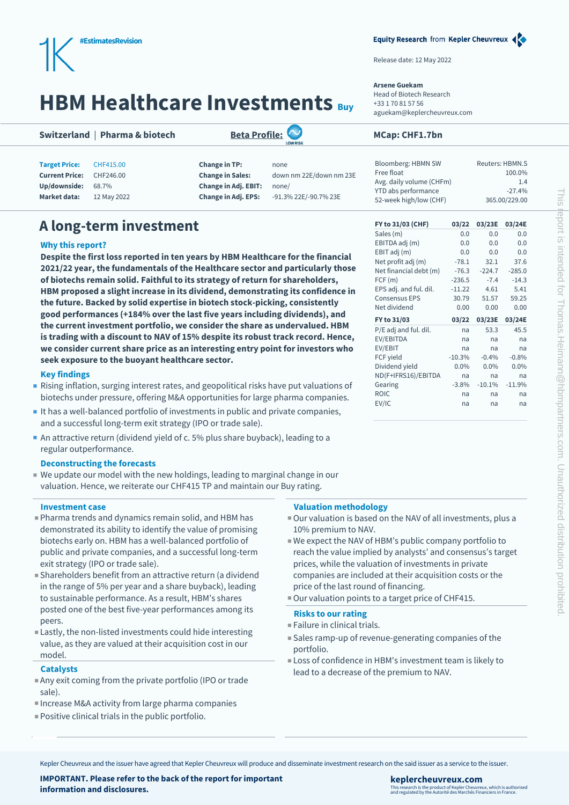

# **HBM Healthcare Investments Buy**

## **Switzerland | Pharma & biotech [Beta Profile:](https://research-info.keplercheuvreux.com/quant-disclaimers.html) MEXICAL BUSICAL BUSICAL BUSICAL BUSICAL BUSICAL BUSICAL BUSICAL BUSICAL BUSICAL BUSICAL BUSICAL BUSICAL BUSICAL BUSICAL BUSICAL BUSICAL BUSICAL BUSICAL BUSICAL BUSICAL BUSI**

**Market data:** 12 May 2022 **Change in Adj. EPS:** -91.3% 22E/-90.7% 23E



**Current Price:** CHF246.00 **Change in Sales:** down nm 22E/down nm 23E

## Release date: 12 May 2022

## **Arsene Guekam**

Head of Biotech Research +33 1 70 81 57 56 aguekam@keplercheuvreux.com

Sales (m)

| Bloomberg: HBMN SW       | Reuters: HBMN.S |
|--------------------------|-----------------|
| Free float               | 100.0%          |
| Avg. daily volume (CHFm) | 1.4             |
| YTD abs performance      | $-27.4%$        |
| 52-week high/low (CHF)   | 365.00/229.00   |
|                          |                 |

Equity Research from Kepler Cheuvreux <

EBITDA adj (m) 0.0 0.0 0.0 EBIT adj (m) 0.0 0.0 0.0 Net profit adj (m) -78.1 32.1 37.6 Net financial debt (m) -76.3 -224.7 -285.0  $FCF(m)$  -236.5 -7.4 -14.3 EPS adj. and ful. dil. -11.22 4.61 5.41 Consensus EPS 30.79 51.57 59.25 Net dividend 0.00 0.00 0.00 **FY to 31/03 03/22 03/23E 03/24E** P/E adj and ful. dil. ha 53.3 45.5 EV/EBITDA na na na EV/EBIT na na na FCF yield -10.3% -0.4% -0.8% Dividend yield 0.0% 0.0% 0.0% ND(F+IFRS16)/EBITDA na na na Gearing -3.8% -10.1% -11.9% ROIC na na na EV/IC na na na

# **A long-term investment FY to 31/03 (CHF) 03/22 03/23E 03/24E**

## **Why this report?**

**Despite the first loss reported in ten years by HBM Healthcare for the financial 2021/22 year, the fundamentals of the Healthcare sector and particularly those of biotechs remain solid. Faithful to its strategy of return for shareholders, HBM proposed a slight increase in its dividend, demonstrating its confidence in the future. Backed by solid expertise in biotech stock-picking, consistently good performances (+184% over the last five years including dividends), and the current investment portfolio, we consider the share as undervalued. HBM is trading with a discount to NAV of 15% despite its robust track record. Hence, we consider current share price as an interesting entry point for investors who seek exposure to the buoyant healthcare sector.**

## **Key findings**

- Rising inflation, surging interest rates, and geopolitical risks have put valuations of biotechs under pressure, offering M&A opportunities for large pharma companies.
- It has a well-balanced portfolio of investments in public and private companies, and a successful long-term exit strategy (IPO or trade sale).
- An attractive return (dividend yield of c. 5% plus share buyback), leading to a regular outperformance.

## **Deconstructing the forecasts**

 We update our model with the new holdings, leading to marginal change in our valuation. Hence, we reiterate our CHF415 TP and maintain our Buy rating.

## **Investment case**

- Pharma trends and dynamics remain solid, and HBM has demonstrated its ability to identify the value of promising biotechs early on. HBM has a well-balanced portfolio of public and private companies, and a successful long-term exit strategy (IPO or trade sale).
- Shareholders benefit from an attractive return (a dividend in the range of 5% per year and a share buyback), leading to sustainable performance. As a result, HBM's shares posted one of the best five-year performances among its peers.
- Lastly, the non-listed investments could hide interesting value, as they are valued at their acquisition cost in our model.

## **Catalysts**

- Any exit coming from the private portfolio (IPO or trade sale).
- Increase M&A activity from large pharma companies
- Positive clinical trials in the public portfolio.

## **Valuation methodology**

- Our valuation is based on the NAV of all investments, plus a 10% premium to NAV.
- We expect the NAV of HBM's public company portfolio to reach the value implied by analysts' and consensus's target prices, while the valuation of investments in private companies are included at their acquisition costs or the price of the last round of financing.
- Our valuation points to a target price of CHF415.

## **Risks to our rating**

- Failure in clinical trials.
- Sales ramp-up of revenue-generating companies of the portfolio.
- Loss of confidence in HBM's investment team is likely to lead to a decrease of the premium to NAV.

Kepler Cheuvreux and the issuer have agreed that Kepler Cheuvreux will produce and disseminate investment research on the said issuer as a service to the issuer.

**IMPORTANT. Please refer to the back of the report for important information and disclosures.**

## **keplercheuvreux.com** This research is the product of Kepler Cheuvreux, which is authorised and regulated by the Autorité des Marchés Financiers in France.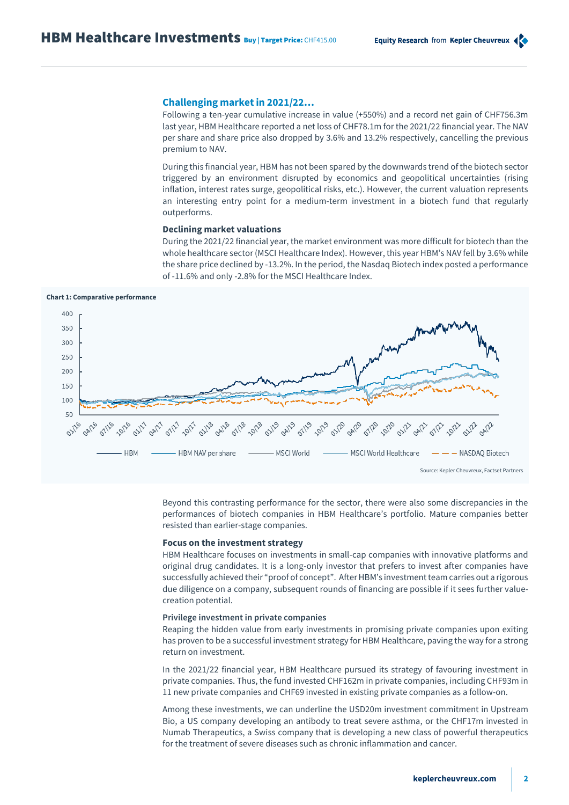## **Challenging market in 2021/22…**

Following a ten-year cumulative increase in value (+550%) and a record net gain of CHF756.3m last year, HBM Healthcare reported a net loss of CHF78.1m for the 2021/22 financial year. The NAV per share and share price also dropped by 3.6% and 13.2% respectively, cancelling the previous premium to NAV.

During this financial year, HBM has not been spared by the downwards trend of the biotech sector triggered by an environment disrupted by economics and geopolitical uncertainties (rising inflation, interest rates surge, geopolitical risks, etc.). However, the current valuation represents an interesting entry point for a medium-term investment in a biotech fund that regularly outperforms.

## **Declining market valuations**

During the 2021/22 financial year, the market environment was more difficult for biotech than the whole healthcare sector (MSCI Healthcare Index). However, this year HBM's NAV fell by 3.6% while the share price declined by -13.2%. In the period, the Nasdaq Biotech index posted a performance of -11.6% and only -2.8% for the MSCI Healthcare Index.

### **Chart 1: Comparative performance**



Beyond this contrasting performance for the sector, there were also some discrepancies in the performances of biotech companies in HBM Healthcare's portfolio. Mature companies better resisted than earlier-stage companies.

## **Focus on the investment strategy**

HBM Healthcare focuses on investments in small-cap companies with innovative platforms and original drug candidates. It is a long-only investor that prefers to invest after companies have successfully achieved their "proof of concept". After HBM's investment team carries out a rigorous due diligence on a company, subsequent rounds of financing are possible if it sees further valuecreation potential.

### **Privilege investment in private companies**

Reaping the hidden value from early investments in promising private companies upon exiting has proven to be a successful investment strategy for HBM Healthcare, paving the way for a strong return on investment.

In the 2021/22 financial year, HBM Healthcare pursued its strategy of favouring investment in private companies. Thus, the fund invested CHF162m in private companies, including CHF93m in 11 new private companies and CHF69 invested in existing private companies as a follow-on.

Among these investments, we can underline the USD20m investment commitment in Upstream Bio, a US company developing an antibody to treat severe asthma, or the CHF17m invested in Numab Therapeutics, a Swiss company that is developing a new class of powerful therapeutics for the treatment of severe diseases such as chronic inflammation and cancer.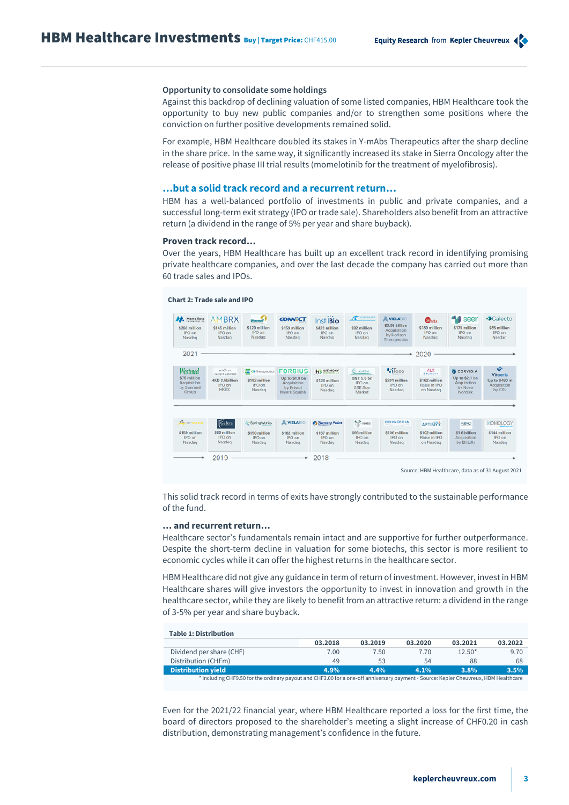## **Opportunity to consolidate some holdings**

Against this backdrop of declining valuation of some listed companies, HBM Healthcare took the opportunity to buy new public companies and/or to strengthen some positions where the conviction on further positive developments remained solid.

For example, HBM Healthcare doubled its stakes in Y-mAbs Therapeutics after the sharp decline in the share price. In the same way, it significantly increased its stake in Sierra Oncology after the release of positive phase III trial results (momelotinib for the treatment of myelofibrosis).

## **…but a solid track record and a recurrent return…**

HBM has a well-balanced portfolio of investments in public and private companies, and a successful long-term exit strategy (IPO or trade sale). Shareholders also benefit from an attractive return (a dividend in the range of 5% per year and share buyback).

## **Proven track record…**

Over the years, HBM Healthcare has built up an excellent track record in identifying promising private healthcare companies, and over the last decade the company has carried out more than 60 trade sales and IPOs.

## **Chart 2: Trade sale and IPO**



This solid track record in terms of exits have strongly contributed to the sustainable performance of the fund.

## **… and recurrent return…**

Healthcare sector's fundamentals remain intact and are supportive for further outperformance. Despite the short-term decline in valuation for some biotechs, this sector is more resilient to economic cycles while it can offer the highest returns in the healthcare sector.

HBM Healthcare did not give any guidance in term of return of investment. However, invest in HBM Healthcare shares will give investors the opportunity to invest in innovation and growth in the healthcare sector, while they are likely to benefit from an attractive return: a dividend in the range of 3-5% per year and share buyback.

| <b>Table 1: Distribution</b>                                                                                                         |         |         |         |          |         |  |  |  |  |  |  |
|--------------------------------------------------------------------------------------------------------------------------------------|---------|---------|---------|----------|---------|--|--|--|--|--|--|
|                                                                                                                                      | 03.2018 | 03.2019 | 03.2020 | 03.2021  | 03.2022 |  |  |  |  |  |  |
| Dividend per share (CHF)                                                                                                             | 7.00    | 7.50    | 7.70    | $12.50*$ | 9.70    |  |  |  |  |  |  |
| Distribution (CHFm)                                                                                                                  | 49      | 53      | 54      | 88       | 68      |  |  |  |  |  |  |
| Distribution yield                                                                                                                   | 4.9%    | 4.4%    | 4.1%    | $3.8\%$  | 3.5%    |  |  |  |  |  |  |
| * including CHF9.50 for the ordinary payout and CHF3.00 for a one-off anniversary payment - Source: Kepler Cheuvreux, HBM Healthcare |         |         |         |          |         |  |  |  |  |  |  |

Even for the 2021/22 financial year, where HBM Healthcare reported a loss for the first time, the board of directors proposed to the shareholder's meeting a slight increase of CHF0.20 in cash distribution, demonstrating management's confidence in the future.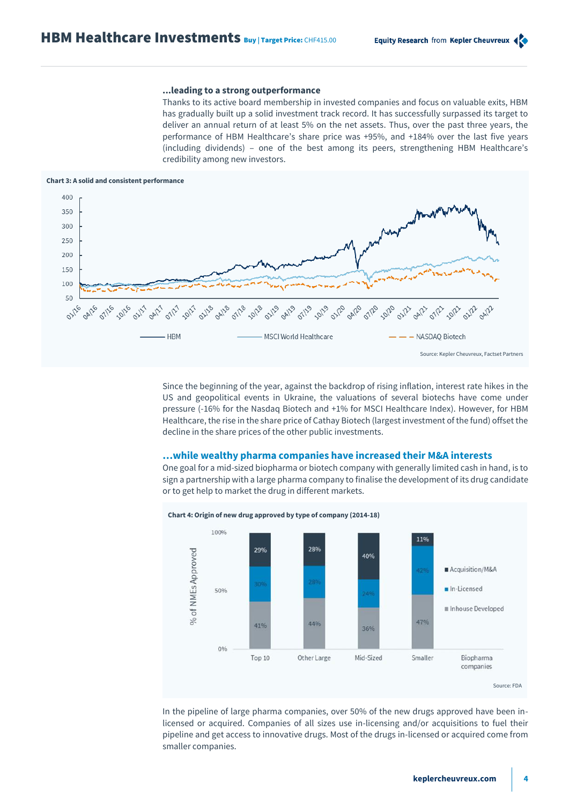## **...leading to a strong outperformance**

Thanks to its active board membership in invested companies and focus on valuable exits, HBM has gradually built up a solid investment track record. It has successfully surpassed its target to deliver an annual return of at least 5% on the net assets. Thus, over the past three years, the performance of HBM Healthcare's share price was +95%, and +184% over the last five years (including dividends) ‒ one of the best among its peers, strengthening HBM Healthcare's credibility among new investors.

### **Chart 3: A solid and consistent performance**



Since the beginning of the year, against the backdrop of rising inflation, interest rate hikes in the US and geopolitical events in Ukraine, the valuations of several biotechs have come under pressure (-16% for the Nasdaq Biotech and +1% for MSCI Healthcare Index). However, for HBM Healthcare, the rise in the share price of Cathay Biotech (largest investment of the fund) offset the decline in the share prices of the other public investments.

## **…while wealthy pharma companies have increased their M&A interests**

One goal for a mid-sized biopharma or biotech company with generally limited cash in hand, is to sign a partnership with a large pharma company to finalise the development of its drug candidate or to get help to market the drug in different markets.



In the pipeline of large pharma companies, over 50% of the new drugs approved have been inlicensed or acquired. Companies of all sizes use in-licensing and/or acquisitions to fuel their pipeline and get access to innovative drugs. Most of the drugs in-licensed or acquired come from smaller companies.

**Chart 4: Origin of new drug approved by type of company (2014-18)**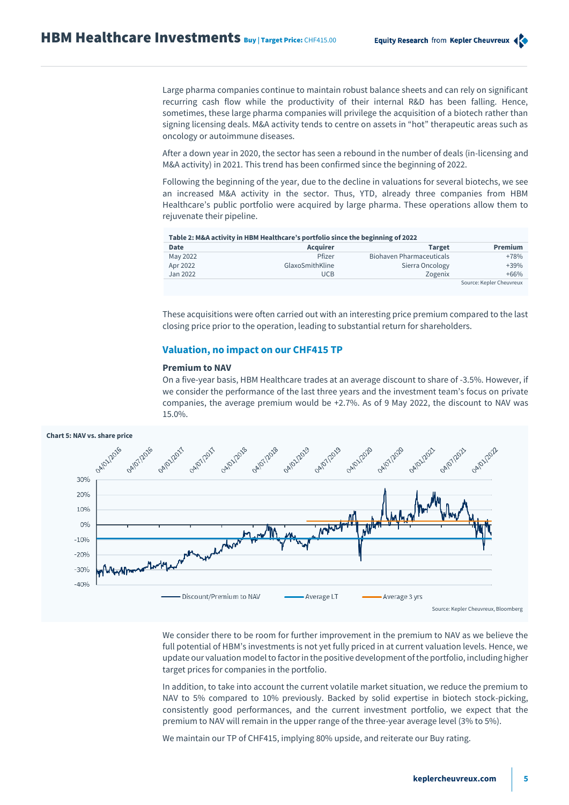Large pharma companies continue to maintain robust balance sheets and can rely on significant recurring cash flow while the productivity of their internal R&D has been falling. Hence, sometimes, these large pharma companies will privilege the acquisition of a biotech rather than signing licensing deals. M&A activity tends to centre on assets in "hot" therapeutic areas such as oncology or autoimmune diseases.

After a down year in 2020, the sector has seen a rebound in the number of deals (in-licensing and M&A activity) in 2021. This trend has been confirmed since the beginning of 2022.

Following the beginning of the year, due to the decline in valuations for several biotechs, we see an increased M&A activity in the sector. Thus, YTD, already three companies from HBM Healthcare's public portfolio were acquired by large pharma. These operations allow them to rejuvenate their pipeline.

| Table 2: M&A activity in HBM Healthcare's portfolio since the beginning of 2022 |                 |                                 |                          |  |  |  |  |  |  |
|---------------------------------------------------------------------------------|-----------------|---------------------------------|--------------------------|--|--|--|--|--|--|
| <b>Date</b>                                                                     | <b>Acquirer</b> | <b>Target</b>                   | <b>Premium</b>           |  |  |  |  |  |  |
| May 2022                                                                        | Pfizer          | <b>Biohaven Pharmaceuticals</b> | $+78%$                   |  |  |  |  |  |  |
| Apr 2022                                                                        | GlaxoSmithKline | Sierra Oncology                 | $+39%$                   |  |  |  |  |  |  |
| Jan 2022                                                                        | <b>UCB</b>      | Zogenix                         | $+66%$                   |  |  |  |  |  |  |
|                                                                                 |                 |                                 | Source: Kepler Cheuvreux |  |  |  |  |  |  |

These acquisitions were often carried out with an interesting price premium compared to the last closing price prior to the operation, leading to substantial return for shareholders.

## **Valuation, no impact on our CHF415 TP**

## **Premium to NAV**

On a five-year basis, HBM Healthcare trades at an average discount to share of -3.5%. However, if we consider the performance of the last three years and the investment team's focus on private companies, the average premium would be +2.7%. As of 9 May 2022, the discount to NAV was 15.0%.



We consider there to be room for further improvement in the premium to NAV as we believe the full potential of HBM's investments is not yet fully priced in at current valuation levels. Hence, we update our valuation model to factor in the positive development of the portfolio, including higher target prices for companies in the portfolio.

In addition, to take into account the current volatile market situation, we reduce the premium to NAV to 5% compared to 10% previously. Backed by solid expertise in biotech stock-picking, consistently good performances, and the current investment portfolio, we expect that the premium to NAV will remain in the upper range of the three-year average level (3% to 5%).

We maintain our TP of CHF415, implying 80% upside, and reiterate our Buy rating.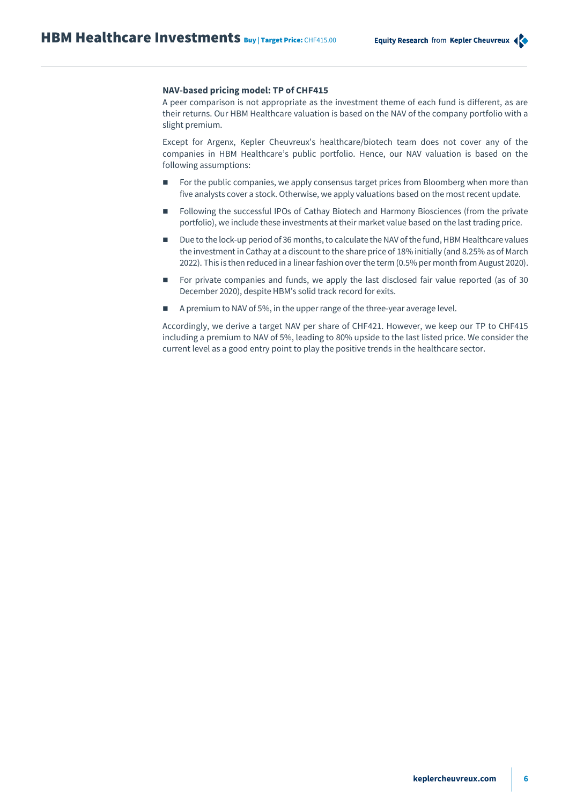## **NAV-based pricing model: TP of CHF415**

A peer comparison is not appropriate as the investment theme of each fund is different, as are their returns. Our HBM Healthcare valuation is based on the NAV of the company portfolio with a slight premium.

Except for Argenx, Kepler Cheuvreux's healthcare/biotech team does not cover any of the companies in HBM Healthcare's public portfolio. Hence, our NAV valuation is based on the following assumptions:

- For the public companies, we apply consensus target prices from Bloomberg when more than five analysts cover a stock. Otherwise, we apply valuations based on the most recent update.
- Following the successful IPOs of Cathay Biotech and Harmony Biosciences (from the private portfolio), we include these investments at their market value based on the last trading price.
- Due to the lock-up period of 36 months, to calculate the NAV of the fund, HBM Healthcare values the investment in Cathay at a discount to the share price of 18% initially (and 8.25% as of March 2022). This is then reduced in a linear fashion over the term (0.5% per month from August 2020).
- For private companies and funds, we apply the last disclosed fair value reported (as of 30 December 2020), despite HBM's solid track record for exits.
- A premium to NAV of 5%, in the upper range of the three-year average level.

Accordingly, we derive a target NAV per share of CHF421. However, we keep our TP to CHF415 including a premium to NAV of 5%, leading to 80% upside to the last listed price. We consider the current level as a good entry point to play the positive trends in the healthcare sector.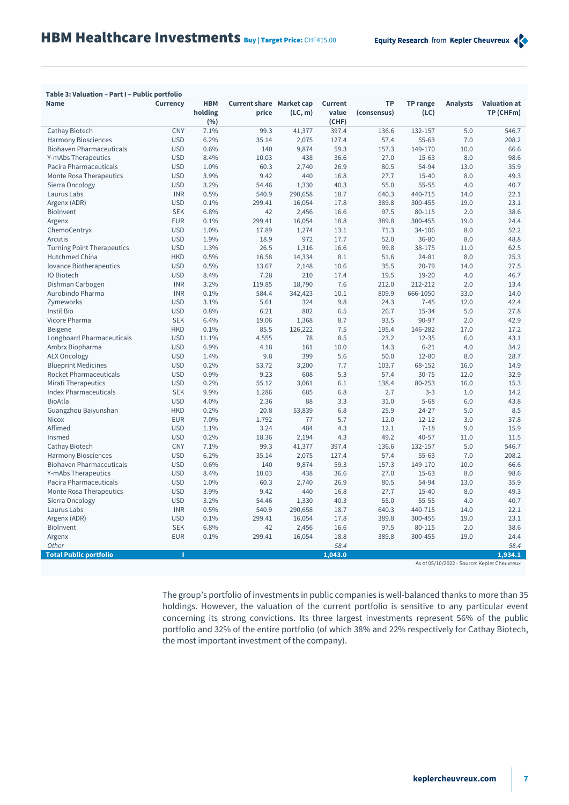## **Table 3: Valuation – Part I – Public portfolio**

| <b>Name</b>                       | <b>Currency</b> | <b>HBM</b><br>holding | <b>Current share</b> Market cap<br>price | (LC, m) | <b>Current</b><br>value | <b>TP</b><br>(consensus) | <b>TP range</b><br>(LC) | <b>Analysts</b> | <b>Valuation at</b><br>TP (CHFm)            |
|-----------------------------------|-----------------|-----------------------|------------------------------------------|---------|-------------------------|--------------------------|-------------------------|-----------------|---------------------------------------------|
|                                   |                 | (%)                   |                                          |         | (CHF)                   |                          |                         |                 |                                             |
| Cathay Biotech                    | <b>CNY</b>      | 7.1%                  | 99.3                                     | 41,377  | 397.4                   | 136.6                    | 132-157                 | 5.0             | 546.7                                       |
| <b>Harmony Biosciences</b>        | <b>USD</b>      | 6.2%                  | 35.14                                    | 2,075   | 127.4                   | 57.4                     | 55-63                   | 7.0             | 208.2                                       |
| <b>Biohaven Pharmaceuticals</b>   | <b>USD</b>      | 0.6%                  | 140                                      | 9,874   | 59.3                    | 157.3                    | 149-170                 | 10.0            | 66.6                                        |
| Y-mAbs Therapeutics               | <b>USD</b>      | 8.4%                  | 10.03                                    | 438     | 36.6                    | 27.0                     | $15 - 63$               | 8.0             | 98.6                                        |
| Pacira Pharmaceuticals            | <b>USD</b>      | 1.0%                  | 60.3                                     | 2,740   | 26.9                    | 80.5                     | 54-94                   | 13.0            | 35.9                                        |
| Monte Rosa Therapeutics           | <b>USD</b>      | 3.9%                  | 9.42                                     | 440     | 16.8                    | 27.7                     | $15 - 40$               | 8.0             | 49.3                                        |
| Sierra Oncology                   | <b>USD</b>      | 3.2%                  | 54.46                                    | 1,330   | 40.3                    | 55.0                     | $55 - 55$               | 4.0             | 40.7                                        |
| Laurus Labs                       | <b>INR</b>      | 0.5%                  | 540.9                                    | 290,658 | 18.7                    | 640.3                    | 440-715                 | 14.0            | 22.1                                        |
| Argenx (ADR)                      | <b>USD</b>      | 0.1%                  | 299.41                                   | 16,054  | 17.8                    | 389.8                    | 300-455                 | 19.0            | 23.1                                        |
| Biolnvent                         | <b>SEK</b>      | 6.8%                  | 42                                       | 2,456   | 16.6                    | 97.5                     | 80-115                  | 2.0             | 38.6                                        |
| Argenx                            | <b>EUR</b>      | 0.1%                  | 299.41                                   | 16,054  | 18.8                    | 389.8                    | 300-455                 | 19.0            | 24.4                                        |
| ChemoCentryx                      | <b>USD</b>      | 1.0%                  | 17.89                                    | 1,274   | 13.1                    | 71.3                     | 34-106                  | 8.0             | 52.2                                        |
| Arcutis                           | <b>USD</b>      | 1.9%                  | 18.9                                     | 972     | 17.7                    | 52.0                     | 36-80                   | 8.0             | 48.8                                        |
| <b>Turning Point Therapeutics</b> | <b>USD</b>      | 1.3%                  | 26.5                                     | 1,316   | 16.6                    | 99.8                     | 38-175                  | 11.0            | 62.5                                        |
| Hutchmed China                    | <b>HKD</b>      | 0.5%                  | 16.58                                    | 14,334  | 8.1                     | 51.6                     | 24-81                   | 8.0             | 25.3                                        |
| lovance Biotherapeutics           | <b>USD</b>      | 0.5%                  | 13.67                                    | 2,148   | 10.6                    | 35.5                     | $20 - 79$               | 14.0            | 27.5                                        |
| IO Biotech                        | <b>USD</b>      | 8.4%                  | 7.28                                     | 210     | 17.4                    | 19.5                     | $19 - 20$               | 4.0             | 46.7                                        |
| Dishman Carbogen                  | <b>INR</b>      | 3.2%                  | 119.85                                   | 18,790  | 7.6                     | 212.0                    | 212-212                 | 2.0             | 13.4                                        |
| Aurobindo Pharma                  | <b>INR</b>      | 0.1%                  | 584.4                                    | 342,423 | 10.1                    | 809.9                    | 666-1050                | 33.0            | 14.0                                        |
| Zymeworks                         | <b>USD</b>      | 3.1%                  | 5.61                                     | 324     | 9.8                     | 24.3                     | $7 - 45$                | 12.0            | 42.4                                        |
| Instil Bio                        | <b>USD</b>      | 0.8%                  | 6.21                                     | 802     | 6.5                     | 26.7                     | 15-34                   | 5.0             | 27.8                                        |
| Vicore Pharma                     | <b>SEK</b>      | 6.4%                  | 19.06                                    | 1,368   | 8.7                     | 93.5                     | 90-97                   | 2.0             | 42.9                                        |
| <b>Beigene</b>                    | <b>HKD</b>      | 0.1%                  | 85.5                                     | 126,222 | 7.5                     | 195.4                    | 146-282                 | 17.0            | 17.2                                        |
| Longboard Pharmaceuticals         | <b>USD</b>      | 11.1%                 | 4.555                                    | 78      | 8.5                     | 23.2                     | $12 - 35$               | 6.0             | 43.1                                        |
| Ambrx Biopharma                   | <b>USD</b>      | 6.9%                  | 4.18                                     | 161     | 10.0                    | 14.3                     | $6 - 21$                | 4.0             | 34.2                                        |
| <b>ALX Oncology</b>               | <b>USD</b>      | 1.4%                  | 9.8                                      | 399     | 5.6                     | 50.0                     | $12 - 80$               | 8.0             | 28.7                                        |
| <b>Blueprint Medicines</b>        | <b>USD</b>      | 0.2%                  | 53.72                                    | 3,200   | 7.7                     | 103.7                    | 68-152                  | 16.0            | 14.9                                        |
| Rocket Pharmaceuticals            | <b>USD</b>      | 0.9%                  | 9.23                                     | 608     | 5.3                     | 57.4                     | $30 - 75$               | 12.0            | 32.9                                        |
| <b>Mirati Therapeutics</b>        | <b>USD</b>      | 0.2%                  | 55.12                                    | 3,061   | 6.1                     | 138.4                    | 80-253                  | 16.0            | 15.3                                        |
| <b>Index Pharmaceuticals</b>      | <b>SEK</b>      | 9.9%                  | 1.286                                    | 685     | 6.8                     | 2.7                      | $3 - 3$                 | 1.0             | 14.2                                        |
| <b>BioAtla</b>                    | <b>USD</b>      | 4.0%                  | 2.36                                     | 88      | 3.3                     | 31.0                     | $5 - 68$                | 6.0             | 43.8                                        |
| Guangzhou Baiyunshan              | <b>HKD</b>      | 0.2%                  | 20.8                                     | 53,839  | 6.8                     | 25.9                     | $24 - 27$               | 5.0             | 8.5                                         |
| <b>Nicox</b>                      | <b>EUR</b>      | 7.0%                  | 1.792                                    | 77      | 5.7                     | 12.0                     | $12 - 12$               | 3.0             | 37.8                                        |
| Affimed                           | <b>USD</b>      | 1.1%                  | 3.24                                     | 484     | 4.3                     | 12.1                     | $7 - 18$                | 9.0             | 15.9                                        |
| Insmed                            | <b>USD</b>      | 0.2%                  | 18.36                                    | 2,194   | 4.3                     | 49.2                     | $40 - 57$               | 11.0            | 11.5                                        |
| Cathay Biotech                    | CNY             | 7.1%                  | 99.3                                     | 41,377  | 397.4                   | 136.6                    | 132-157                 | 5.0             | 546.7                                       |
| <b>Harmony Biosciences</b>        | <b>USD</b>      | 6.2%                  | 35.14                                    | 2,075   | 127.4                   | 57.4                     | 55-63                   | 7.0             | 208.2                                       |
| <b>Biohaven Pharmaceuticals</b>   | <b>USD</b>      | 0.6%                  | 140                                      | 9,874   | 59.3                    | 157.3                    | 149-170                 | 10.0            | 66.6                                        |
| Y-mAbs Therapeutics               | <b>USD</b>      | 8.4%                  | 10.03                                    | 438     | 36.6                    | 27.0                     | $15 - 63$               | 8.0             | 98.6                                        |
| Pacira Pharmaceuticals            | <b>USD</b>      | 1.0%                  | 60.3                                     | 2,740   | 26.9                    | 80.5                     | 54-94                   | 13.0            | 35.9                                        |
| Monte Rosa Therapeutics           | <b>USD</b>      | 3.9%                  | 9.42                                     | 440     | 16.8                    | 27.7                     | 15-40                   | 8.0             | 49.3                                        |
| Sierra Oncology                   | <b>USD</b>      | 3.2%                  | 54.46                                    | 1,330   | 40.3                    | 55.0                     | 55-55                   | 4.0             | 40.7                                        |
| Laurus Labs                       | <b>INR</b>      | 0.5%                  | 540.9                                    | 290,658 | 18.7                    | 640.3                    | 440-715                 | 14.0            | 22.1                                        |
| Argenx (ADR)                      | <b>USD</b>      | 0.1%                  | 299.41                                   | 16,054  | 17.8                    | 389.8                    | 300-455                 | 19.0            | 23.1                                        |
| <b>Biolnvent</b>                  | <b>SEK</b>      | 6.8%                  | 42                                       | 2,456   | 16.6                    | 97.5                     | 80-115                  | 2.0             | 38.6                                        |
| Argenx                            | <b>EUR</b>      | 0.1%                  | 299.41                                   | 16,054  | 18.8                    | 389.8                    | 300-455                 | 19.0            | 24.4                                        |
| Other                             |                 |                       |                                          |         | 58.4                    |                          |                         |                 | 58.4                                        |
| <b>Total Public portfolio</b>     | п               |                       |                                          |         | 1.043.0                 |                          |                         |                 | 1.934.1                                     |
|                                   |                 |                       |                                          |         |                         |                          |                         |                 | As of 05/10/2022 - Source: Kepler Cheuvreux |

The group's portfolio of investments in public companies is well-balanced thanks to more than 35 holdings. However, the valuation of the current portfolio is sensitive to any particular event concerning its strong convictions. Its three largest investments represent 56% of the public portfolio and 32% of the entire portfolio (of which 38% and 22% respectively for Cathay Biotech, the most important investment of the company).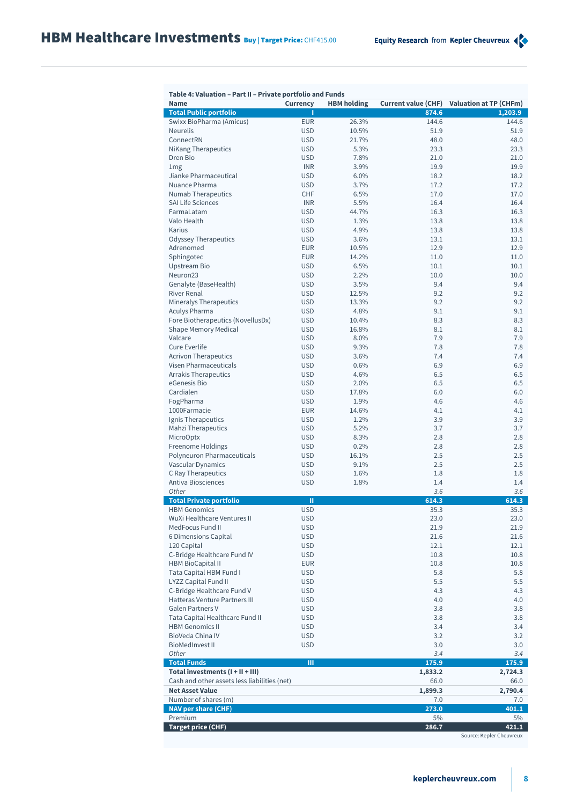| Table 4: Valuation – Part II – Private portfolio and Punus<br><b>Name</b> | <b>Currency</b>          | <b>HBM</b> holding |              | Current value (CHF) Valuation at TP (CHFm) |
|---------------------------------------------------------------------------|--------------------------|--------------------|--------------|--------------------------------------------|
| <b>Total Public portfolio</b>                                             | п                        |                    | 874.6        | 1,203.9                                    |
| Swixx BioPharma (Amicus)                                                  | <b>EUR</b>               | 26.3%              | 144.6        | 144.6                                      |
| <b>Neurelis</b>                                                           | <b>USD</b>               | 10.5%              | 51.9         | 51.9                                       |
| ConnectRN                                                                 | <b>USD</b>               | 21.7%              | 48.0         | 48.0                                       |
| <b>NiKang Therapeutics</b>                                                | <b>USD</b>               | 5.3%               | 23.3         | 23.3                                       |
| Dren Bio                                                                  | <b>USD</b>               | 7.8%               | 21.0         | 21.0                                       |
| 1mg                                                                       | <b>INR</b>               | 3.9%               | 19.9         | 19.9                                       |
| Jianke Pharmaceutical                                                     | <b>USD</b>               | 6.0%               | 18.2         | 18.2                                       |
| Nuance Pharma                                                             | <b>USD</b>               | 3.7%               | 17.2         | 17.2                                       |
| <b>Numab Therapeutics</b>                                                 | <b>CHF</b>               | 6.5%               | 17.0         | 17.0                                       |
| <b>SAI Life Sciences</b>                                                  | <b>INR</b>               | 5.5%               | 16.4         | 16.4                                       |
| FarmaLatam<br>Valo Health                                                 | <b>USD</b>               | 44.7%              | 16.3         | 16.3                                       |
| Karius                                                                    | <b>USD</b><br><b>USD</b> | 1.3%<br>4.9%       | 13.8<br>13.8 | 13.8<br>13.8                               |
| <b>Odyssey Therapeutics</b>                                               | <b>USD</b>               | 3.6%               | 13.1         | 13.1                                       |
| Adrenomed                                                                 | <b>EUR</b>               | 10.5%              | 12.9         | 12.9                                       |
| Sphingotec                                                                | <b>EUR</b>               | 14.2%              | 11.0         | 11.0                                       |
| <b>Upstream Bio</b>                                                       | <b>USD</b>               | 6.5%               | 10.1         | 10.1                                       |
| Neuron23                                                                  | <b>USD</b>               | 2.2%               | 10.0         | 10.0                                       |
| Genalyte (BaseHealth)                                                     | <b>USD</b>               | 3.5%               | 9.4          | 9.4                                        |
| <b>River Renal</b>                                                        | <b>USD</b>               | 12.5%              | 9.2          | 9.2                                        |
| Mineralys Therapeutics                                                    | <b>USD</b>               | 13.3%              | 9.2          | 9.2                                        |
| Aculys Pharma                                                             | <b>USD</b>               | 4.8%               | 9.1          | 9.1                                        |
| Fore Biotherapeutics (NovellusDx)                                         | <b>USD</b>               | 10.4%              | 8.3          | 8.3                                        |
| Shape Memory Medical                                                      | <b>USD</b>               | 16.8%              | 8.1          | 8.1                                        |
| Valcare                                                                   | <b>USD</b>               | 8.0%               | 7.9          | 7.9                                        |
| <b>Cure Everlife</b>                                                      | <b>USD</b>               | 9.3%               | 7.8          | 7.8                                        |
| <b>Acrivon Therapeutics</b>                                               | <b>USD</b>               | 3.6%               | 7.4          | 7.4                                        |
| Visen Pharmaceuticals                                                     | <b>USD</b>               | 0.6%               | 6.9          | 6.9                                        |
| <b>Arrakis Therapeutics</b>                                               | <b>USD</b>               | 4.6%               | 6.5          | 6.5                                        |
| eGenesis Bio                                                              | <b>USD</b>               | 2.0%               | 6.5          | 6.5                                        |
| Cardialen                                                                 | <b>USD</b>               | 17.8%              | 6.0          | 6.0                                        |
| FogPharma                                                                 | <b>USD</b>               | 1.9%               | 4.6          | 4.6                                        |
| 1000Farmacie                                                              | <b>EUR</b>               | 14.6%              | 4.1          | 4.1                                        |
| Ignis Therapeutics                                                        | <b>USD</b>               | 1.2%               | 3.9          | 3.9                                        |
| <b>Mahzi Therapeutics</b>                                                 | <b>USD</b>               | 5.2%               | 3.7          | 3.7                                        |
| <b>MicroOptx</b>                                                          | <b>USD</b>               | 8.3%               | 2.8          | 2.8                                        |
| Freenome Holdings                                                         | <b>USD</b>               | 0.2%               | 2.8          | 2.8                                        |
| Polyneuron Pharmaceuticals                                                | <b>USD</b>               | 16.1%              | 2.5          | 2.5                                        |
| Vascular Dynamics                                                         | <b>USD</b>               | 9.1%               | 2.5          | 2.5                                        |
| C Ray Therapeutics                                                        | <b>USD</b>               | 1.6%               | 1.8          | 1.8                                        |
| <b>Antiva Biosciences</b>                                                 | <b>USD</b>               | 1.8%               | 1.4          | 1.4                                        |
| Other                                                                     |                          |                    | 3.6          | 3.6                                        |
| <b>Total Private portfolio</b>                                            | Ш                        |                    | 614.3        | 614.3                                      |
| <b>HBM</b> Genomics                                                       | <b>USD</b>               |                    | 35.3         | 35.3                                       |
| WuXi Healthcare Ventures II                                               | <b>USD</b>               |                    | 23.0         | 23.0                                       |
| MedFocus Fund II                                                          | <b>USD</b>               |                    | 21.9         | 21.9                                       |
| 6 Dimensions Capital<br>120 Capital                                       | <b>USD</b><br><b>USD</b> |                    | 21.6<br>12.1 | 21.6<br>12.1                               |
| C-Bridge Healthcare Fund IV                                               | <b>USD</b>               |                    | 10.8         | 10.8                                       |
| <b>HBM BioCapital II</b>                                                  | <b>EUR</b>               |                    | 10.8         | 10.8                                       |
| Tata Capital HBM Fund I                                                   | <b>USD</b>               |                    | 5.8          | 5.8                                        |
| <b>LYZZ Capital Fund II</b>                                               | <b>USD</b>               |                    | 5.5          | 5.5                                        |
| C-Bridge Healthcare Fund V                                                | <b>USD</b>               |                    | 4.3          | 4.3                                        |
| Hatteras Venture Partners III                                             | <b>USD</b>               |                    | 4.0          | 4.0                                        |
| <b>Galen Partners V</b>                                                   | <b>USD</b>               |                    | 3.8          | 3.8                                        |
| Tata Capital Healthcare Fund II                                           | <b>USD</b>               |                    | 3.8          | 3.8                                        |
| <b>HBM Genomics II</b>                                                    | <b>USD</b>               |                    | 3.4          | 3.4                                        |
| BioVeda China IV                                                          | <b>USD</b>               |                    | 3.2          | 3.2                                        |
| <b>BioMedInvest II</b>                                                    | <b>USD</b>               |                    | 3.0          | 3.0                                        |
| Other                                                                     |                          |                    | 3.4          | 3.4                                        |
| <b>Total Funds</b>                                                        | Ш                        |                    | 175.9        | 175.9                                      |
| Total investments (I + II + III)                                          |                          |                    | 1,833.2      | 2,724.3                                    |
| Cash and other assets less liabilities (net)                              |                          |                    | 66.0         | 66.0                                       |
| <b>Net Asset Value</b>                                                    |                          |                    | 1,899.3      | 2,790.4                                    |
| Number of shares (m)                                                      |                          |                    | 7.0          | 7.0                                        |
| <b>NAV per share (CHF)</b>                                                |                          |                    | 273.0        | 401.1                                      |
| Premium                                                                   |                          |                    | 5%           | 5%                                         |
| <b>Target price (CHF)</b>                                                 |                          |                    | 286.7        | 421.1<br>Source: Kepler Cheuvreux          |
|                                                                           |                          |                    |              |                                            |

## **Table 4: Valuation – Part II – Private portfolio and Funds**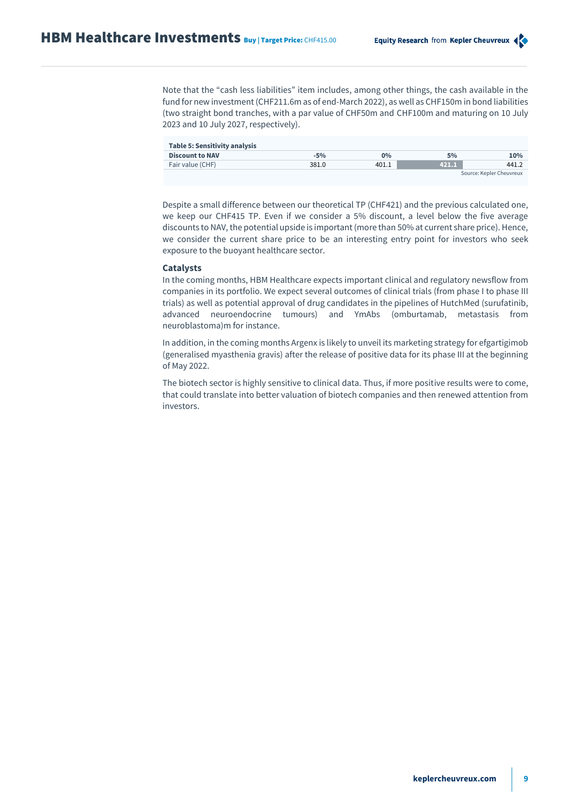Note that the "cash less liabilities" item includes, among other things, the cash available in the fund for new investment (CHF211.6m as of end-March 2022), as well as CHF150m in bond liabilities (two straight bond tranches, with a par value of CHF50m and CHF100m and maturing on 10 July 2023 and 10 July 2027, respectively).

| Table 5: Sensitivity analysis |       |       |       |                          |
|-------------------------------|-------|-------|-------|--------------------------|
| <b>Discount to NAV</b>        | $-5%$ | $0\%$ | 5%    | 10%                      |
| Fair value (CHF)              | 381.0 | 401.1 | 421.1 | 441.2                    |
|                               |       |       |       | Source: Kepler Cheuvreux |

Despite a small difference between our theoretical TP (CHF421) and the previous calculated one, we keep our CHF415 TP. Even if we consider a 5% discount, a level below the five average discounts to NAV, the potential upside is important (more than 50% at current share price). Hence, we consider the current share price to be an interesting entry point for investors who seek exposure to the buoyant healthcare sector.

## **Catalysts**

In the coming months, HBM Healthcare expects important clinical and regulatory newsflow from companies in its portfolio. We expect several outcomes of clinical trials (from phase I to phase III trials) as well as potential approval of drug candidates in the pipelines of HutchMed (surufatinib, advanced neuroendocrine tumours) and YmAbs (omburtamab, metastasis from neuroblastoma)m for instance.

In addition, in the coming months Argenx is likely to unveil its marketing strategy for efgartigimob (generalised myasthenia gravis) after the release of positive data for its phase III at the beginning of May 2022.

The biotech sector is highly sensitive to clinical data. Thus, if more positive results were to come, that could translate into better valuation of biotech companies and then renewed attention from investors.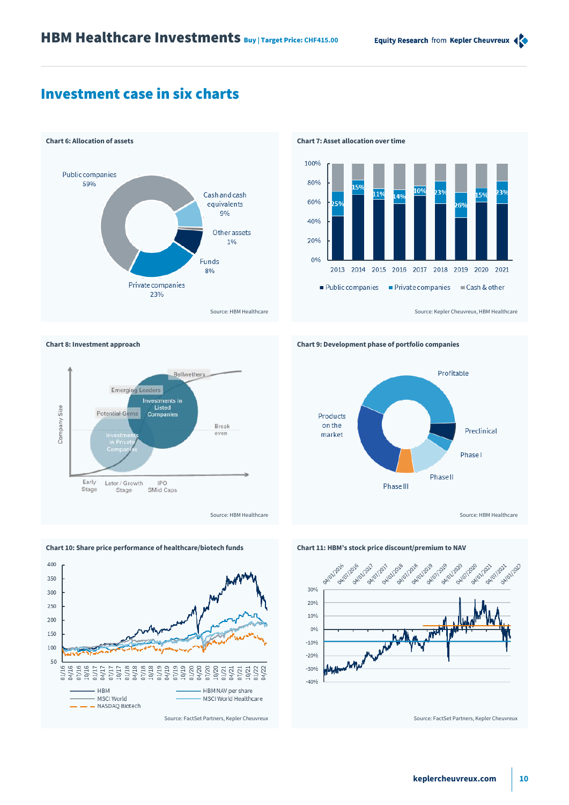# Investment case in six charts



Bellwethers

Break

even



**Chart 8: Investment approach Chart 9: Development phase of portfolio companies**





**Emerging Leaders** 

Potential Gems

Later / Growth

Stage

Size

Company

Early

Stage

Investments in<br>Listed<br>Companies

IPO

SMid Caps

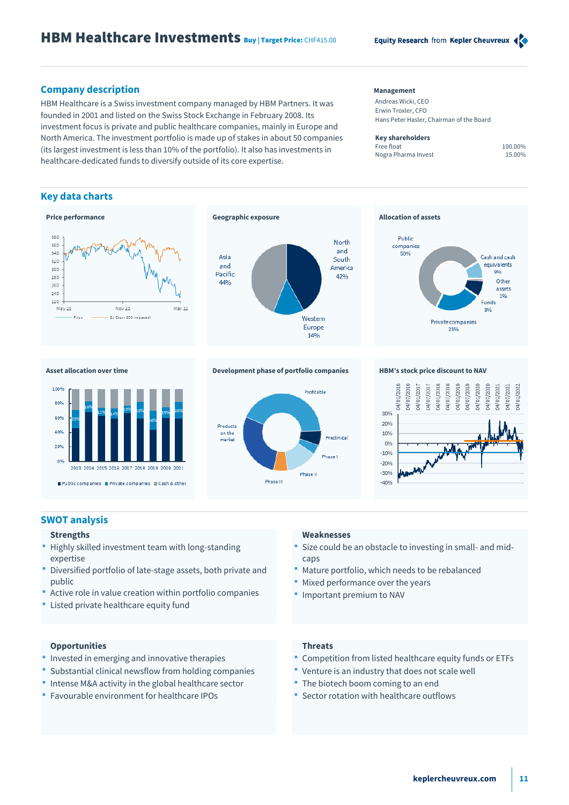## **Company description Management**

HBM Healthcare is a Swiss investment company managed by HBM Partners. It was founded in 2001 and listed on the Swiss Stock Exchange in February 2008. Its investment focus is private and public healthcare companies, mainly in Europe and North America. The investment portfolio is made up of stakes in about 50 companies (its largest investment is less than 10% of the portfolio). It also has investments in healthcare-dedicated funds to diversify outside of its core expertise.

## **Key data charts**





Andreas Wicki, CEO Erwin Troxler, CFO Hans Peter Hasler, Chairman of the Board

### **Key shareholders**

Free float 100.00% Nogra Pharma Invest 15.00%





## **Asset allocation over time Development phase of portfolio companies HBM's stock price discount to NAV**





## **SWOT analysis**

## **Strengths**

- Highly skilled investment team with long-standing expertise
- Diversified portfolio of late-stage assets, both private and public
- Active role in value creation within portfolio companies
- **EXTED FIGUREY** Listed private healthcare equity fund

## **Weaknesses**

- Size could be an obstacle to investing in small- and midcaps
- Mature portfolio, which needs to be rebalanced
- Mixed performance over the years
- **Important premium to NAV**

## **Opportunities**

- **Invested in emerging and innovative therapies**
- Substantial clinical newsflow from holding companies
- **Intense M&A activity in the global healthcare sector**
- Favourable environment for healthcare IPOs

## **Threats**

- Competition from listed healthcare equity funds or ETFs
- Venture is an industry that does not scale well
- The biotech boom coming to an end
- Sector rotation with healthcare outflows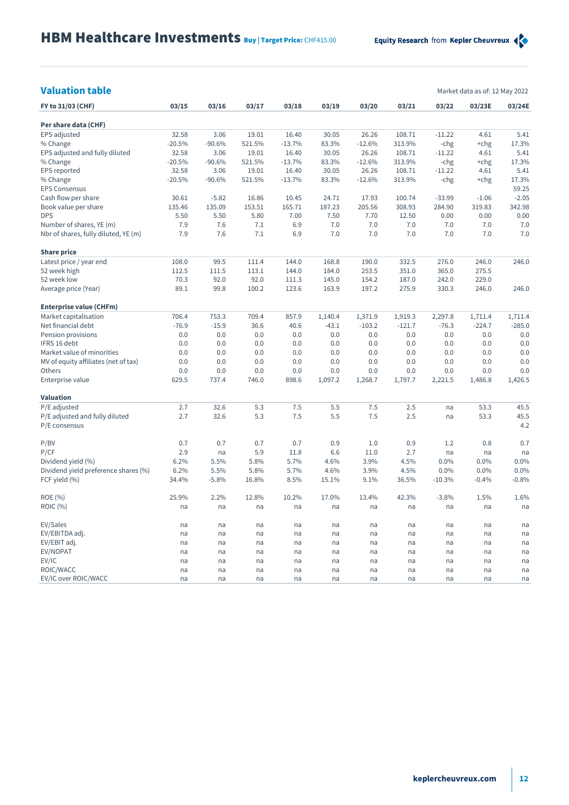| <b>Valuation table</b> |  |  |
|------------------------|--|--|
|                        |  |  |

**Valuation table** Market data as of: 12 May 2022

| FY to 31/03 (CHF)                    | 03/15    | 03/16    | 03/17  | 03/18    | 03/19   | 03/20    | 03/21    | 03/22    | 03/23E   | 03/24E   |
|--------------------------------------|----------|----------|--------|----------|---------|----------|----------|----------|----------|----------|
| Per share data (CHF)                 |          |          |        |          |         |          |          |          |          |          |
| EPS adjusted                         | 32.58    | 3.06     | 19.01  | 16.40    | 30.05   | 26.26    | 108.71   | $-11.22$ | 4.61     | 5.41     |
| % Change                             | $-20.5%$ | $-90.6%$ | 521.5% | $-13.7%$ | 83.3%   | $-12.6%$ | 313.9%   | -chg     | $+chg$   | 17.3%    |
| EPS adjusted and fully diluted       | 32.58    | 3.06     | 19.01  | 16.40    | 30.05   | 26.26    | 108.71   | $-11.22$ | 4.61     | 5.41     |
| % Change                             | $-20.5%$ | $-90.6%$ | 521.5% | $-13.7%$ | 83.3%   | $-12.6%$ | 313.9%   | -chg     | $+chg$   | 17.3%    |
| EPS reported                         | 32.58    | 3.06     | 19.01  | 16.40    | 30.05   | 26.26    | 108.71   | $-11.22$ | 4.61     | 5.41     |
| % Change                             | $-20.5%$ | $-90.6%$ | 521.5% | $-13.7%$ | 83.3%   | $-12.6%$ | 313.9%   | -chg     | $+chg$   | 17.3%    |
| <b>EPS Consensus</b>                 |          |          |        |          |         |          |          |          |          | 59.25    |
| Cash flow per share                  | 30.61    | $-5.82$  | 16.86  | 10.45    | 24.71   | 17.93    | 100.74   | $-33.99$ | $-1.06$  | $-2.05$  |
| Book value per share                 | 135.46   | 135.09   | 153.51 | 165.71   | 187.23  | 205.56   | 308.93   | 284.90   | 319.83   | 342.98   |
| <b>DPS</b>                           | 5.50     | 5.50     | 5.80   | 7.00     | 7.50    | 7.70     | 12.50    | 0.00     | 0.00     | 0.00     |
| Number of shares, YE (m)             | 7.9      | 7.6      | 7.1    | 6.9      | 7.0     | 7.0      | 7.0      | 7.0      | 7.0      | 7.0      |
| Nbr of shares, fully diluted, YE (m) | 7.9      | 7.6      | 7.1    | 6.9      | 7.0     | 7.0      | 7.0      | 7.0      | 7.0      | 7.0      |
|                                      |          |          |        |          |         |          |          |          |          |          |
| <b>Share price</b>                   |          |          |        |          |         |          |          |          |          |          |
| Latest price / year end              | 108.0    | 99.5     | 111.4  | 144.0    | 168.8   | 190.0    | 332.5    | 276.0    | 246.0    | 246.0    |
| 52 week high                         | 112.5    | 111.5    | 113.1  | 144.0    | 184.0   | 253.5    | 351.0    | 365.0    | 275.5    |          |
| 52 week low                          | 70.3     | 92.0     | 92.0   | 111.3    | 145.0   | 154.2    | 187.0    | 242.0    | 229.0    |          |
| Average price (Year)                 | 89.1     | 99.8     | 100.2  | 123.6    | 163.9   | 197.2    | 275.9    | 330.3    | 246.0    | 246.0    |
| <b>Enterprise value (CHFm)</b>       |          |          |        |          |         |          |          |          |          |          |
| Market capitalisation                | 706.4    | 753.3    | 709.4  | 857.9    | 1,140.4 | 1,371.9  | 1,919.3  | 2,297.8  | 1,711.4  | 1,711.4  |
| Net financial debt                   | $-76.9$  | $-15.9$  | 36.6   | 40.6     | $-43.1$ | $-103.2$ | $-121.7$ | $-76.3$  | $-224.7$ | $-285.0$ |
| Pension provisions                   | 0.0      | 0.0      | 0.0    | 0.0      | 0.0     | 0.0      | 0.0      | 0.0      | 0.0      | 0.0      |
| IFRS 16 debt                         | 0.0      | 0.0      | 0.0    | 0.0      | 0.0     | 0.0      | 0.0      | 0.0      | 0.0      | 0.0      |
| Market value of minorities           | 0.0      | 0.0      | 0.0    | 0.0      | 0.0     | 0.0      | 0.0      | 0.0      | 0.0      | 0.0      |
| MV of equity affiliates (net of tax) | 0.0      | 0.0      | 0.0    | 0.0      | 0.0     | 0.0      | 0.0      | 0.0      | 0.0      | 0.0      |
| Others                               | 0.0      | 0.0      | 0.0    | 0.0      | 0.0     | 0.0      | 0.0      | 0.0      | 0.0      | 0.0      |
| Enterprise value                     | 629.5    | 737.4    | 746.0  | 898.6    | 1,097.2 | 1,268.7  | 1,797.7  | 2,221.5  | 1,486.8  | 1,426.5  |
|                                      |          |          |        |          |         |          |          |          |          |          |
| <b>Valuation</b>                     |          |          |        |          |         |          |          |          |          |          |
| P/E adjusted                         | 2.7      | 32.6     | 5.3    | 7.5      | 5.5     | 7.5      | 2.5      | na       | 53.3     | 45.5     |
| P/E adjusted and fully diluted       | 2.7      | 32.6     | 5.3    | 7.5      | 5.5     | 7.5      | 2.5      | na       | 53.3     | 45.5     |
| P/E consensus                        |          |          |        |          |         |          |          |          |          | 4.2      |
| P/BV                                 | 0.7      | 0.7      | 0.7    | 0.7      | 0.9     | 1.0      | 0.9      | 1.2      | 0.8      | 0.7      |
| P/CF                                 | 2.9      | na       | 5.9    | 11.8     | 6.6     | 11.0     | 2.7      | na       | na       | na       |
| Dividend yield (%)                   | 6.2%     | 5.5%     | 5.8%   | 5.7%     | 4.6%    | 3.9%     | 4.5%     | 0.0%     | 0.0%     | 0.0%     |
| Dividend yield preference shares (%) | 6.2%     | 5.5%     | 5.8%   | 5.7%     | 4.6%    | 3.9%     | 4.5%     | 0.0%     | 0.0%     | 0.0%     |
| FCF yield (%)                        | 34.4%    | $-5.8%$  | 16.8%  | 8.5%     | 15.1%   | 9.1%     | 36.5%    | $-10.3%$ | $-0.4%$  | $-0.8%$  |
| ROE (%)                              | 25.9%    | 2.2%     | 12.8%  | 10.2%    | 17.0%   | 13.4%    | 42.3%    | $-3.8%$  | 1.5%     | 1.6%     |
| ROIC (%)                             | na       | na       | na     | na       | na      | na       | na       | na       | na       | na       |
|                                      |          |          |        |          |         |          |          |          |          |          |
| EV/Sales                             | na       | na       | na     | na       | na      | na       | na       | na       | na       | na       |
| EV/EBITDA adj.                       | na       | na       | na     | na       | na      | na       | na       | na       | na       | na       |
| EV/EBIT adj.                         | na       | na       | na     | na       | na      | na       | na       | na       | na       | na       |
| EV/NOPAT                             | na       | na       | na     | na       | na      | na       | na       | na       | na       | na       |
| EV/IC                                | na       | na       | na     | na       | na      | na       | na       | na       | na       | na       |
| ROIC/WACC                            | na       | na       | na     | na       | na      | na       | na       | na       | na       | na       |
| EV/IC over ROIC/WACC                 | na       | na       | na     | na       | na      | na       | na       | na       | na       | na       |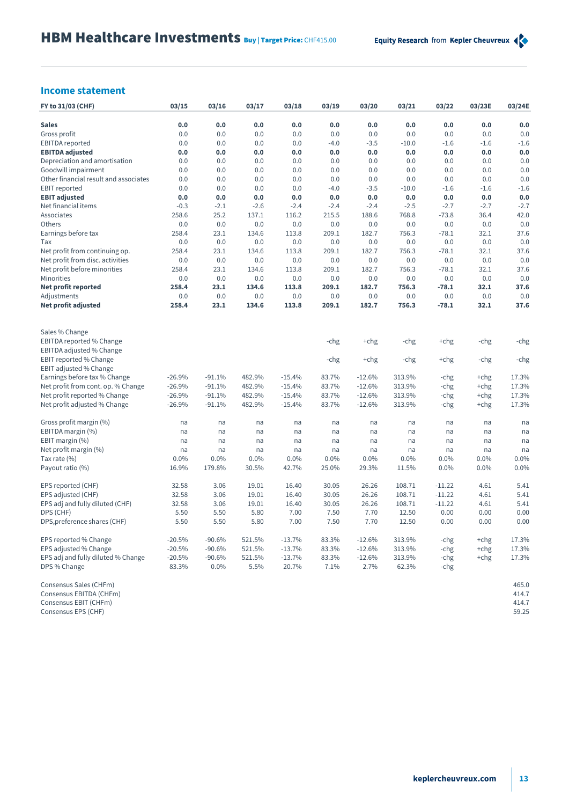## **Income statement**

| FY to 31/03 (CHF)                                 | 03/15    | 03/16    | 03/17  | 03/18    | 03/19  | 03/20    | 03/21   | 03/22    | 03/23E | 03/24E         |
|---------------------------------------------------|----------|----------|--------|----------|--------|----------|---------|----------|--------|----------------|
| <b>Sales</b>                                      | 0.0      | 0.0      | 0.0    | 0.0      | 0.0    | 0.0      | 0.0     | 0.0      | 0.0    | 0.0            |
| Gross profit                                      | 0.0      | 0.0      | 0.0    | 0.0      | 0.0    | 0.0      | 0.0     | 0.0      | 0.0    | 0.0            |
| <b>EBITDA</b> reported                            | 0.0      | 0.0      | 0.0    | 0.0      | $-4.0$ | $-3.5$   | $-10.0$ | $-1.6$   | $-1.6$ | $-1.6$         |
| <b>EBITDA</b> adjusted                            | 0.0      | 0.0      | 0.0    | 0.0      | 0.0    | 0.0      | 0.0     | 0.0      | 0.0    | 0.0            |
| Depreciation and amortisation                     | 0.0      | 0.0      | 0.0    | 0.0      | 0.0    | 0.0      | 0.0     | 0.0      | 0.0    | 0.0            |
| Goodwill impairment                               | 0.0      | 0.0      | 0.0    | 0.0      | 0.0    | 0.0      | 0.0     | 0.0      | 0.0    | 0.0            |
| Other financial result and associates             | 0.0      | 0.0      | 0.0    | 0.0      | 0.0    | 0.0      | 0.0     | 0.0      | 0.0    | 0.0            |
| <b>EBIT</b> reported                              | 0.0      | 0.0      | 0.0    | 0.0      | $-4.0$ | $-3.5$   | $-10.0$ | $-1.6$   | $-1.6$ | $-1.6$         |
| <b>EBIT adjusted</b>                              | 0.0      | 0.0      | 0.0    | 0.0      | 0.0    | 0.0      | 0.0     | 0.0      | 0.0    | 0.0            |
| Net financial items                               | $-0.3$   | $-2.1$   | $-2.6$ | $-2.4$   | $-2.4$ | $-2.4$   | $-2.5$  | $-2.7$   | $-2.7$ | $-2.7$         |
| Associates                                        | 258.6    | 25.2     | 137.1  | 116.2    | 215.5  | 188.6    | 768.8   | $-73.8$  | 36.4   | 42.0           |
| Others                                            | 0.0      | 0.0      | 0.0    | 0.0      | 0.0    | 0.0      | 0.0     | 0.0      | 0.0    | 0.0            |
| Earnings before tax                               | 258.4    | 23.1     | 134.6  | 113.8    | 209.1  | 182.7    | 756.3   | $-78.1$  | 32.1   | 37.6           |
| Tax                                               | 0.0      | 0.0      | 0.0    | 0.0      | 0.0    | 0.0      | 0.0     | 0.0      | 0.0    | 0.0            |
| Net profit from continuing op.                    | 258.4    | 23.1     | 134.6  | 113.8    | 209.1  | 182.7    | 756.3   | $-78.1$  | 32.1   | 37.6           |
| Net profit from disc. activities                  | 0.0      | 0.0      | 0.0    | 0.0      | 0.0    | 0.0      | 0.0     | 0.0      | 0.0    | 0.0            |
| Net profit before minorities                      | 258.4    | 23.1     | 134.6  | 113.8    | 209.1  | 182.7    | 756.3   | $-78.1$  | 32.1   | 37.6           |
| Minorities                                        | 0.0      | 0.0      | 0.0    | 0.0      | 0.0    | 0.0      | 0.0     | 0.0      | 0.0    | 0.0            |
| Net profit reported                               | 258.4    | 23.1     | 134.6  | 113.8    | 209.1  | 182.7    | 756.3   | $-78.1$  | 32.1   | 37.6           |
| Adjustments                                       | 0.0      | 0.0      | 0.0    | 0.0      | 0.0    | 0.0      | 0.0     | 0.0      | 0.0    | 0.0            |
| <b>Net profit adjusted</b>                        | 258.4    | 23.1     | 134.6  | 113.8    | 209.1  | 182.7    | 756.3   | $-78.1$  | 32.1   | 37.6           |
| Sales % Change                                    |          |          |        |          |        |          |         |          |        |                |
| EBITDA reported % Change                          |          |          |        |          | -chg   | +chg     | -chg    | +chg     | -chg   | -chg           |
| EBITDA adjusted % Change                          |          |          |        |          |        |          |         |          |        |                |
| EBIT reported % Change                            |          |          |        |          | -chg   | +chg     | -chg    | +chg     | -chg   | -chg           |
| EBIT adjusted % Change                            |          |          |        |          |        |          |         |          |        |                |
| Earnings before tax % Change                      | $-26.9%$ | $-91.1%$ | 482.9% | $-15.4%$ | 83.7%  | $-12.6%$ | 313.9%  | -chg     | $+chg$ | 17.3%          |
| Net profit from cont. op. % Change                | $-26.9%$ | $-91.1%$ | 482.9% | $-15.4%$ | 83.7%  | $-12.6%$ | 313.9%  | -chg     | $+chg$ | 17.3%          |
| Net profit reported % Change                      | $-26.9%$ | $-91.1%$ | 482.9% | $-15.4%$ | 83.7%  | $-12.6%$ | 313.9%  | -chg     | $+chg$ | 17.3%          |
| Net profit adjusted % Change                      | $-26.9%$ | $-91.1%$ | 482.9% | $-15.4%$ | 83.7%  | $-12.6%$ | 313.9%  | -chg     | +chg   | 17.3%          |
| Gross profit margin (%)                           | na       | na       | na     | na       | na     | na       | na      | na       | na     | na             |
| EBITDA margin (%)                                 | na       | na       | na     | na       | na     | na       | na      | na       | na     | na             |
| EBIT margin (%)                                   | na       | na       | na     | na       | na     | na       | na      | na       | na     | na             |
| Net profit margin (%)                             | na       | na       | na     | na       | na     | na       | na      | na       | na     | na             |
| Tax rate $(\% )$                                  | 0.0%     | 0.0%     | 0.0%   | 0.0%     | 0.0%   | $0.0\%$  | 0.0%    | 0.0%     | 0.0%   | 0.0%           |
| Payout ratio (%)                                  | 16.9%    | 179.8%   | 30.5%  | 42.7%    | 25.0%  | 29.3%    | 11.5%   | 0.0%     | 0.0%   | 0.0%           |
| EPS reported (CHF)                                | 32.58    | 3.06     | 19.01  | 16.40    | 30.05  | 26.26    | 108.71  | $-11.22$ | 4.61   | 5.41           |
| EPS adjusted (CHF)                                | 32.58    | 3.06     | 19.01  | 16.40    | 30.05  | 26.26    | 108.71  | $-11.22$ | 4.61   | 5.41           |
| EPS adj and fully diluted (CHF)                   | 32.58    | 3.06     | 19.01  | 16.40    | 30.05  | 26.26    | 108.71  | $-11.22$ | 4.61   | 5.41           |
| DPS (CHF)                                         | 5.50     | 5.50     | 5.80   | 7.00     | 7.50   | 7.70     | 12.50   | 0.00     | 0.00   | 0.00           |
| DPS, preference shares (CHF)                      | 5.50     | 5.50     | 5.80   | 7.00     | 7.50   | 7.70     | 12.50   | 0.00     | 0.00   | 0.00           |
| EPS reported % Change                             | $-20.5%$ | $-90.6%$ | 521.5% | $-13.7%$ | 83.3%  | $-12.6%$ | 313.9%  | -chg     | $+chg$ | 17.3%          |
| EPS adjusted % Change                             | $-20.5%$ | $-90.6%$ | 521.5% | $-13.7%$ | 83.3%  | $-12.6%$ | 313.9%  | -chg     | $+chg$ | 17.3%          |
| EPS adj and fully diluted % Change                | $-20.5%$ | $-90.6%$ | 521.5% | $-13.7%$ | 83.3%  | $-12.6%$ | 313.9%  | -chg     | $+chg$ | 17.3%          |
| DPS % Change                                      | 83.3%    | $0.0\%$  | 5.5%   | 20.7%    | 7.1%   | 2.7%     | 62.3%   | -chg     |        |                |
| Consensus Sales (CHFm)<br>Consensus EBITDA (CHFm) |          |          |        |          |        |          |         |          |        | 465.0<br>414.7 |
| Consensus EBIT (CHFm)                             |          |          |        |          |        |          |         |          |        | 414.7          |
| Consensus EPS (CHF)                               |          |          |        |          |        |          |         |          |        | 59.25          |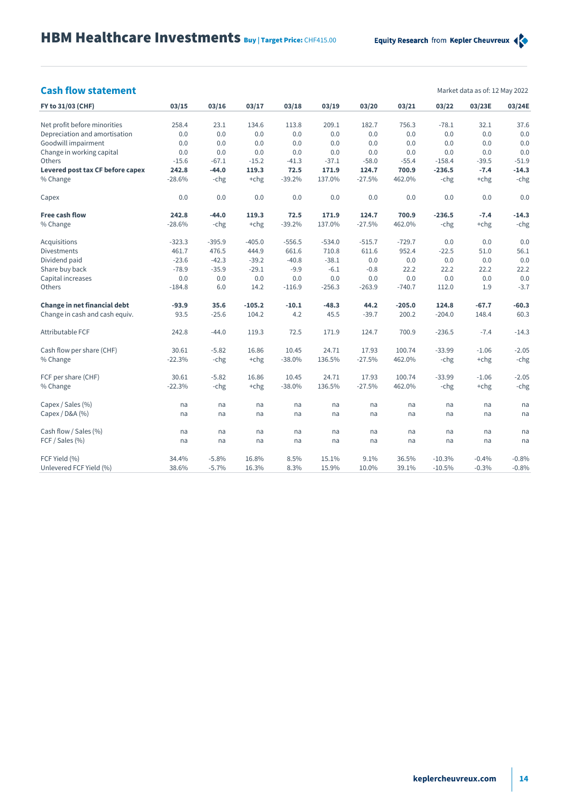## **Cash flow statement** Market data as of: 12 May 2022

| Market data as of: 12 May 2022 |  |  |  |
|--------------------------------|--|--|--|
|                                |  |  |  |

| FY to 31/03 (CHF)                | 03/15    | 03/16    | 03/17    | 03/18    | 03/19    | 03/20    | 03/21    | 03/22    | 03/23E  | 03/24E  |
|----------------------------------|----------|----------|----------|----------|----------|----------|----------|----------|---------|---------|
| Net profit before minorities     | 258.4    | 23.1     | 134.6    | 113.8    | 209.1    | 182.7    | 756.3    | $-78.1$  | 32.1    | 37.6    |
| Depreciation and amortisation    | 0.0      | 0.0      | 0.0      | 0.0      | 0.0      | 0.0      | 0.0      | 0.0      | 0.0     | 0.0     |
| Goodwill impairment              | 0.0      | 0.0      | 0.0      | 0.0      | 0.0      | 0.0      | 0.0      | 0.0      | 0.0     | 0.0     |
| Change in working capital        | 0.0      | 0.0      | 0.0      | 0.0      | 0.0      | 0.0      | 0.0      | 0.0      | 0.0     | 0.0     |
| Others                           | $-15.6$  | $-67.1$  | $-15.2$  | $-41.3$  | $-37.1$  | $-58.0$  | $-55.4$  | $-158.4$ | $-39.5$ | $-51.9$ |
| Levered post tax CF before capex | 242.8    | $-44.0$  | 119.3    | 72.5     | 171.9    | 124.7    | 700.9    | $-236.5$ | $-7.4$  | $-14.3$ |
| % Change                         | $-28.6%$ | -chg     | $+chg$   | $-39.2%$ | 137.0%   | $-27.5%$ | 462.0%   | -chg     | $+chg$  | -chg    |
| Capex                            | 0.0      | 0.0      | 0.0      | 0.0      | 0.0      | 0.0      | 0.0      | 0.0      | 0.0     | 0.0     |
| <b>Free cash flow</b>            | 242.8    | $-44.0$  | 119.3    | 72.5     | 171.9    | 124.7    | 700.9    | $-236.5$ | $-7.4$  | $-14.3$ |
| % Change                         | $-28.6%$ | -chg     | $+chg$   | $-39.2%$ | 137.0%   | $-27.5%$ | 462.0%   | -chg     | $+chg$  | -chg    |
| Acquisitions                     | $-323.3$ | $-395.9$ | $-405.0$ | $-556.5$ | $-534.0$ | $-515.7$ | $-729.7$ | 0.0      | 0.0     | 0.0     |
| <b>Divestments</b>               | 461.7    | 476.5    | 444.9    | 661.6    | 710.8    | 611.6    | 952.4    | $-22.5$  | 51.0    | 56.1    |
| Dividend paid                    | $-23.6$  | $-42.3$  | $-39.2$  | $-40.8$  | $-38.1$  | 0.0      | 0.0      | 0.0      | 0.0     | 0.0     |
| Share buy back                   | $-78.9$  | $-35.9$  | $-29.1$  | $-9.9$   | $-6.1$   | $-0.8$   | 22.2     | 22.2     | 22.2    | 22.2    |
| Capital increases                | 0.0      | 0.0      | 0.0      | 0.0      | 0.0      | 0.0      | 0.0      | 0.0      | 0.0     | 0.0     |
| Others                           | $-184.8$ | 6.0      | 14.2     | $-116.9$ | $-256.3$ | $-263.9$ | $-740.7$ | 112.0    | 1.9     | $-3.7$  |
| Change in net financial debt     | $-93.9$  | 35.6     | $-105.2$ | $-10.1$  | $-48.3$  | 44.2     | $-205.0$ | 124.8    | $-67.7$ | $-60.3$ |
| Change in cash and cash equiv.   | 93.5     | $-25.6$  | 104.2    | 4.2      | 45.5     | $-39.7$  | 200.2    | $-204.0$ | 148.4   | 60.3    |
| <b>Attributable FCF</b>          | 242.8    | $-44.0$  | 119.3    | 72.5     | 171.9    | 124.7    | 700.9    | $-236.5$ | $-7.4$  | $-14.3$ |
| Cash flow per share (CHF)        | 30.61    | $-5.82$  | 16.86    | 10.45    | 24.71    | 17.93    | 100.74   | $-33.99$ | $-1.06$ | $-2.05$ |
| % Change                         | $-22.3%$ | -chg     | $+chg$   | $-38.0%$ | 136.5%   | $-27.5%$ | 462.0%   | -chg     | $+chg$  | -chg    |
| FCF per share (CHF)              | 30.61    | $-5.82$  | 16.86    | 10.45    | 24.71    | 17.93    | 100.74   | $-33.99$ | $-1.06$ | $-2.05$ |
| % Change                         | $-22.3%$ | -chg     | $+chg$   | $-38.0%$ | 136.5%   | $-27.5%$ | 462.0%   | -chg     | $+chg$  | -chg    |
| Capex / Sales (%)                | na       | na       | na       | na       | na       | na       | na       | na       | na      | na      |
| Capex / D&A (%)                  | na       | na       | na       | na       | na       | na       | na       | na       | na      | na      |
| Cash flow / Sales (%)            | na       | na       | na       | na       | na       | na       | na       | na       | na      | na      |
| FCF / Sales (%)                  | na       | na       | na       | na       | na       | na       | na       | na       | na      | na      |
| FCF Yield (%)                    | 34.4%    | $-5.8%$  | 16.8%    | 8.5%     | 15.1%    | 9.1%     | 36.5%    | $-10.3%$ | $-0.4%$ | $-0.8%$ |
| Unlevered FCF Yield (%)          | 38.6%    | $-5.7%$  | 16.3%    | 8.3%     | 15.9%    | 10.0%    | 39.1%    | $-10.5%$ | $-0.3%$ | $-0.8%$ |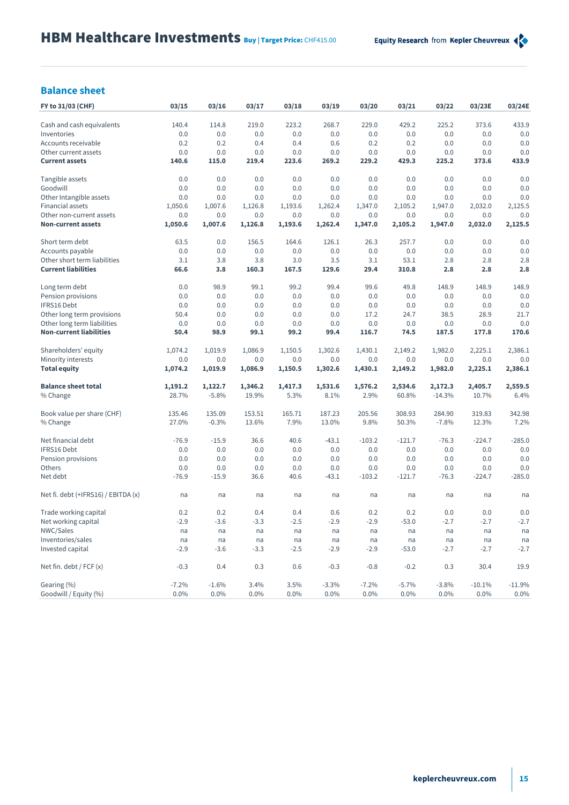## **Balance sheet**

| FY to 31/03 (CHF)                   | 03/15   | 03/16   | 03/17   | 03/18   | 03/19   | 03/20    | 03/21    | 03/22    | 03/23E   | 03/24E   |
|-------------------------------------|---------|---------|---------|---------|---------|----------|----------|----------|----------|----------|
| Cash and cash equivalents           | 140.4   | 114.8   | 219.0   | 223.2   | 268.7   | 229.0    | 429.2    | 225.2    | 373.6    | 433.9    |
| Inventories                         | 0.0     | 0.0     | 0.0     | 0.0     | 0.0     | 0.0      | 0.0      | 0.0      | 0.0      | 0.0      |
| Accounts receivable                 | 0.2     | 0.2     | 0.4     | 0.4     | 0.6     | 0.2      | 0.2      | 0.0      | 0.0      | 0.0      |
| Other current assets                | 0.0     | 0.0     | 0.0     | 0.0     | 0.0     | 0.0      | 0.0      | 0.0      | 0.0      | 0.0      |
| <b>Current assets</b>               | 140.6   | 115.0   | 219.4   | 223.6   | 269.2   | 229.2    | 429.3    | 225.2    | 373.6    | 433.9    |
| Tangible assets                     | 0.0     | 0.0     | 0.0     | 0.0     | 0.0     | 0.0      | 0.0      | 0.0      | 0.0      | 0.0      |
| Goodwill                            | 0.0     | 0.0     | 0.0     | 0.0     | 0.0     | 0.0      | 0.0      | 0.0      | 0.0      | 0.0      |
| Other Intangible assets             | 0.0     | 0.0     | 0.0     | 0.0     | 0.0     | 0.0      | 0.0      | 0.0      | 0.0      | 0.0      |
| <b>Financial assets</b>             | 1,050.6 | 1,007.6 | 1,126.8 | 1,193.6 | 1,262.4 | 1,347.0  | 2,105.2  | 1,947.0  | 2,032.0  | 2,125.5  |
| Other non-current assets            | 0.0     | 0.0     | 0.0     | 0.0     | 0.0     | 0.0      | 0.0      | 0.0      | 0.0      | 0.0      |
| <b>Non-current assets</b>           | 1,050.6 | 1,007.6 | 1,126.8 | 1,193.6 | 1,262.4 | 1,347.0  | 2,105.2  | 1,947.0  | 2,032.0  | 2,125.5  |
| Short term debt                     | 63.5    | 0.0     | 156.5   | 164.6   | 126.1   | 26.3     | 257.7    | 0.0      | 0.0      | 0.0      |
| Accounts payable                    | 0.0     | 0.0     | 0.0     | 0.0     | 0.0     | 0.0      | 0.0      | 0.0      | 0.0      | 0.0      |
| Other short term liabilities        | 3.1     | 3.8     | 3.8     | 3.0     | 3.5     | 3.1      | 53.1     | 2.8      | 2.8      | 2.8      |
| <b>Current liabilities</b>          | 66.6    | 3.8     | 160.3   | 167.5   | 129.6   | 29.4     | 310.8    | 2.8      | 2.8      | 2.8      |
| Long term debt                      | 0.0     | 98.9    | 99.1    | 99.2    | 99.4    | 99.6     | 49.8     | 148.9    | 148.9    | 148.9    |
| Pension provisions                  | 0.0     | 0.0     | 0.0     | 0.0     | 0.0     | 0.0      | 0.0      | 0.0      | 0.0      | 0.0      |
| IFRS16 Debt                         | 0.0     | 0.0     | 0.0     | 0.0     | 0.0     | 0.0      | 0.0      | 0.0      | 0.0      | 0.0      |
| Other long term provisions          | 50.4    | 0.0     | 0.0     | 0.0     | 0.0     | 17.2     | 24.7     | 38.5     | 28.9     | 21.7     |
| Other long term liabilities         | 0.0     | 0.0     | 0.0     | 0.0     | 0.0     | 0.0      | 0.0      | 0.0      | 0.0      | 0.0      |
| <b>Non-current liabilities</b>      | 50.4    | 98.9    | 99.1    | 99.2    | 99.4    | 116.7    | 74.5     | 187.5    | 177.8    | 170.6    |
| Shareholders' equity                | 1,074.2 | 1,019.9 | 1,086.9 | 1,150.5 | 1,302.6 | 1,430.1  | 2,149.2  | 1,982.0  | 2,225.1  | 2,386.1  |
| Minority interests                  | 0.0     | 0.0     | 0.0     | 0.0     | 0.0     | 0.0      | 0.0      | 0.0      | 0.0      | 0.0      |
| <b>Total equity</b>                 | 1,074.2 | 1,019.9 | 1,086.9 | 1,150.5 | 1,302.6 | 1,430.1  | 2,149.2  | 1,982.0  | 2,225.1  | 2,386.1  |
| <b>Balance sheet total</b>          | 1,191.2 | 1,122.7 | 1,346.2 | 1,417.3 | 1,531.6 | 1,576.2  | 2,534.6  | 2,172.3  | 2,405.7  | 2,559.5  |
| % Change                            | 28.7%   | $-5.8%$ | 19.9%   | 5.3%    | 8.1%    | 2.9%     | 60.8%    | $-14.3%$ | 10.7%    | 6.4%     |
| Book value per share (CHF)          | 135.46  | 135.09  | 153.51  | 165.71  | 187.23  | 205.56   | 308.93   | 284.90   | 319.83   | 342.98   |
| % Change                            | 27.0%   | $-0.3%$ | 13.6%   | 7.9%    | 13.0%   | 9.8%     | 50.3%    | $-7.8%$  | 12.3%    | 7.2%     |
| Net financial debt                  | $-76.9$ | $-15.9$ | 36.6    | 40.6    | $-43.1$ | $-103.2$ | $-121.7$ | $-76.3$  | $-224.7$ | $-285.0$ |
| IFRS16 Debt                         | 0.0     | 0.0     | 0.0     | 0.0     | 0.0     | 0.0      | 0.0      | 0.0      | 0.0      | 0.0      |
| Pension provisions                  | 0.0     | 0.0     | 0.0     | 0.0     | 0.0     | 0.0      | 0.0      | 0.0      | 0.0      | 0.0      |
| Others                              | 0.0     | 0.0     | 0.0     | 0.0     | 0.0     | 0.0      | 0.0      | 0.0      | 0.0      | 0.0      |
| Net debt                            | $-76.9$ | $-15.9$ | 36.6    | 40.6    | $-43.1$ | $-103.2$ | $-121.7$ | $-76.3$  | $-224.7$ | $-285.0$ |
| Net fi. debt (+IFRS16) / EBITDA (x) | na      | na      | na      | na      | na      | na       | na       | na       | na       | na       |
| Trade working capital               | 0.2     | 0.2     | 0.4     | 0.4     | 0.6     | 0.2      | 0.2      | 0.0      | 0.0      | 0.0      |
| Net working capital                 | $-2.9$  | $-3.6$  | $-3.3$  | $-2.5$  | $-2.9$  | $-2.9$   | $-53.0$  | $-2.7$   | $-2.7$   | $-2.7$   |
| NWC/Sales                           | na      | na      | na      | na      | na      | na       | na       | na       | na       | na       |
| Inventories/sales                   | na      | na      | na      | na      | na      | na       | na       | na       | na       | na       |
| Invested capital                    | $-2.9$  | $-3.6$  | $-3.3$  | $-2.5$  | $-2.9$  | $-2.9$   | $-53.0$  | $-2.7$   | $-2.7$   | $-2.7$   |
| Net fin. debt / FCF (x)             | $-0.3$  | 0.4     | 0.3     | 0.6     | $-0.3$  | $-0.8$   | $-0.2$   | 0.3      | 30.4     | 19.9     |
| Gearing (%)                         | $-7.2%$ | $-1.6%$ | 3.4%    | 3.5%    | $-3.3%$ | $-7.2%$  | $-5.7%$  | $-3.8%$  | $-10.1%$ | $-11.9%$ |
| Goodwill / Equity (%)               | 0.0%    | 0.0%    | 0.0%    | 0.0%    | 0.0%    | 0.0%     | 0.0%     | 0.0%     | 0.0%     | 0.0%     |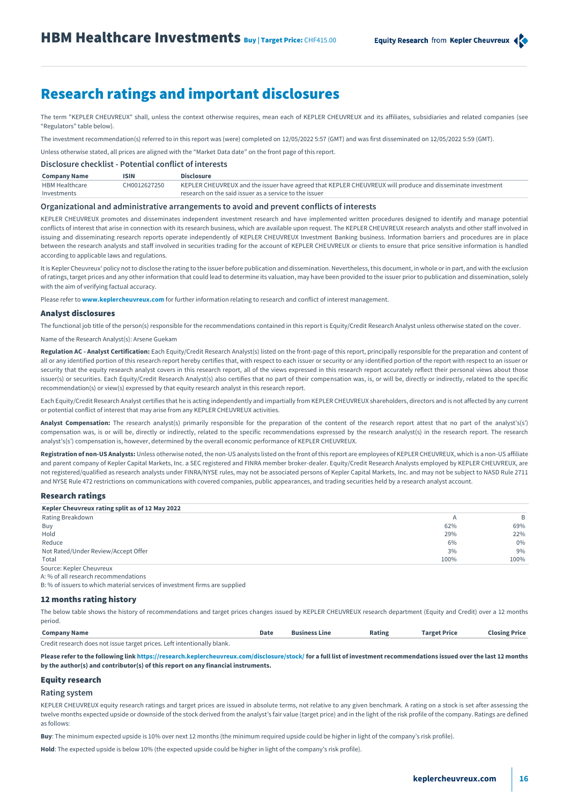# Research ratings and important disclosures

The term "KEPLER CHEUVREUX" shall, unless the context otherwise requires, mean each of KEPLER CHEUVREUX and its affiliates, subsidiaries and related companies (see "Regulators" table below).

The investment recommendation(s) referred to in this report was (were) completed on 12/05/2022 5:57 (GMT) and was first disseminated on 12/05/2022 5:59 (GMT).

Unless otherwise stated, all prices are aligned with the "Market Data date" on the front page of this report.

**Disclosure checklist - Potential conflict of interests**

| <b>Company Name</b>   | <b>ISIN</b>  | <b>Disclosure</b>                                                                                         |
|-----------------------|--------------|-----------------------------------------------------------------------------------------------------------|
| <b>HBM Healthcare</b> | CH0012627250 | KEPLER CHEUVREUX and the issuer have agreed that KEPLER CHEUVREUX will produce and disseminate investment |
| Investments           |              | research on the said issuer as a service to the issuer                                                    |

### **Organizational and administrative arrangements to avoid and prevent conflicts of interests**

KEPLER CHEUVREUX promotes and disseminates independent investment research and have implemented written procedures designed to identify and manage potential conflicts of interest that arise in connection with its research business, which are available upon request. The KEPLER CHEUVREUX research analysts and other staff involved in issuing and disseminating research reports operate independently of KEPLER CHEUVREUX Investment Banking business. Information barriers and procedures are in place between the research analysts and staff involved in securities trading for the account of KEPLER CHEUVREUX or clients to ensure that price sensitive information is handled according to applicable laws and regulations.

It is Kepler Cheuvreux' policy not to disclose the rating to the issuer before publication and dissemination. Nevertheless, this document, in whole or in part, and with the exclusion of ratings, target prices and any other information that could lead to determine its valuation, may have been provided to the issuer prior to publication and dissemination, solely with the aim of verifying factual accuracy.

Please refer to **www.keplercheuvreux.com** for further information relating to research and conflict of interest management.

### Analyst disclosures

The functional job title of the person(s) responsible for the recommendations contained in this report is Equity/Credit Research Analyst unless otherwise stated on the cover.

Name of the Research Analyst(s): Arsene Guekam

**Regulation AC - Analyst Certification:** Each Equity/Credit Research Analyst(s) listed on the front-page of this report, principally responsible for the preparation and content of all or any identified portion of this research report hereby certifies that, with respect to each issuer or security or any identified portion of the report with respect to an issuer or security that the equity research analyst covers in this research report, all of the views expressed in this research report accurately reflect their personal views about those issuer(s) or securities. Each Equity/Credit Research Analyst(s) also certifies that no part of their compensation was, is, or will be, directly or indirectly, related to the specific recommendation(s) or view(s) expressed by that equity research analyst in this research report.

Each Equity/Credit Research Analyst certifies that he is acting independently and impartially from KEPLER CHEUVREUX shareholders, directors and is not affected by any current or potential conflict of interest that may arise from any KEPLER CHEUVREUX activities.

Analyst Compensation: The research analyst(s) primarily responsible for the preparation of the content of the research report attest that no part of the analyst's(s') compensation was, is or will be, directly or indirectly, related to the specific recommendations expressed by the research analyst(s) in the research report. The research analyst's(s') compensation is, however, determined by the overall economic performance of KEPLER CHEUVREUX.

**Registration of non-US Analysts:** Unless otherwise noted, the non-US analysts listed on the front of this report are employees of KEPLER CHEUVREUX, which is a non-US affiliate and parent company of Kepler Capital Markets, Inc. a SEC registered and FINRA member broker-dealer. Equity/Credit Research Analysts employed by KEPLER CHEUVREUX, are not registered/qualified as research analysts under FINRA/NYSE rules, may not be associated persons of Kepler Capital Markets, Inc. and may not be subject to NASD Rule 2711 and NYSE Rule 472 restrictions on communications with covered companies, public appearances, and trading securities held by a research analyst account.

### Research ratings

| Kepler Cheuvreux rating split as of 12 May 2022 |      |       |
|-------------------------------------------------|------|-------|
| Rating Breakdown                                |      | B     |
| Buy                                             | 62%  | 69%   |
| Hold                                            | 29%  | 22%   |
| Reduce                                          | 6%   | $0\%$ |
| Not Rated/Under Review/Accept Offer             | 3%   | 9%    |
| Total                                           | 100% | 100%  |
| Source: Kepler Cheuvreux                        |      |       |

A: % of all research recommendations

B: % of issuers to which material services of investment firms are supplied

### 12 months rating history

The below table shows the history of recommendations and target prices changes issued by KEPLER CHEUVREUX research department (Equity and Credit) over a 12 months period.

| <b>Company Name</b>                                                     | Date | <b>Business Line</b> | Rating | <b>Target Price</b> | <b>Closing Price</b> |
|-------------------------------------------------------------------------|------|----------------------|--------|---------------------|----------------------|
| Credit research does not issue target prices. Left intentionally blank. |      |                      |        |                     |                      |

**Please refer to the following lin[k https://research.keplercheuvreux.com/disclosure/stock/](https://research.keplercheuvreux.com/app/disclosure) for a full list of investment recommendations issued over the last 12 months by the author(s) and contributor(s) of this report on any financial instruments.**

### Equity research

### **Rating system**

KEPLER CHEUVREUX equity research ratings and target prices are issued in absolute terms, not relative to any given benchmark. A rating on a stock is set after assessing the twelve months expected upside or downside of the stock derived from the analyst's fair value (target price) and in the light of the risk profile of the company. Ratings are defined as follows:

**Buy**: The minimum expected upside is 10% over next 12 months (the minimum required upside could be higher in light of the company's risk profile).

**Hold**: The expected upside is below 10% (the expected upside could be higher in light of the company's risk profile).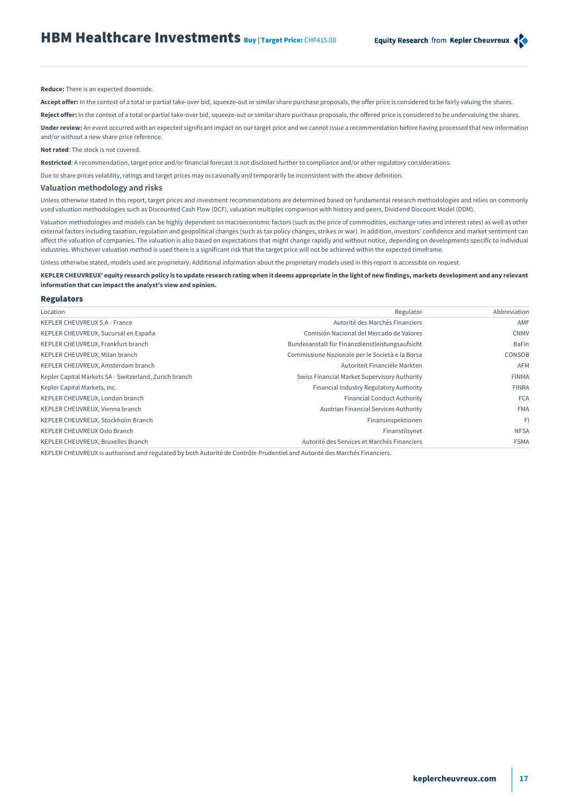**Reduce:** There is an expected downside.

Accept offer: In the context of a total or partial take-over bid, squeeze-out or similar share purchase proposals, the offer price is considered to be fairly valuing the shares.

**Reject offer:** In the context of a total or partial take-over bid, squeeze-out or similar share purchase proposals, the offered price is considered to be undervaluing the shares.

**Under review:** An event occurred with an expected significant impact on our target price and we cannot issue a recommendation before having processed that new information and/or without a new share price reference.

### **Not rated**: The stock is not covered.

**Restricted**: A recommendation, target price and/or financial forecast is not disclosed further to compliance and/or other regulatory considerations.

Due to share prices volatility, ratings and target prices may occasionally and temporarily be inconsistent with the above definition.

### **Valuation methodology and risks**

Unless otherwise stated in this report, target prices and investment recommendations are determined based on fundamental research methodologies and relies on commonly used valuation methodologies such as Discounted Cash Flow (DCF), valuation multiples comparison with history and peers, Dividend Discount Model (DDM).

Valuation methodologies and models can be highly dependent on macroeconomic factors (such as the price of commodities, exchange rates and interest rates) as well as other external factors including taxation, regulation and geopolitical changes (such as tax policy changes, strikes or war). In addition, investors' confidence and market sentiment can affect the valuation of companies. The valuation is also based on expectations that might change rapidly and without notice, depending on developments specific to individual industries. Whichever valuation method is used there is a significant risk that the target price will not be achieved within the expected timeframe.

Unless otherwise stated, models used are proprietary. Additional information about the proprietary models used in this report is accessible on request.

### **KEPLER CHEUVREUX' equity research policy is to update research rating when it deems appropriate in the light of new findings, markets development and any relevant information that can impact the analyst's view and opinion.**

### Regulators

| Location                                               | Regulator                                       | Abbreviation |
|--------------------------------------------------------|-------------------------------------------------|--------------|
| <b>KEPLER CHEUVREUX S.A - France</b>                   | Autorité des Marchés Financiers                 | AMF          |
| KEPLER CHEUVREUX, Sucursal en España                   | Comisión Nacional del Mercado de Valores        | <b>CNMV</b>  |
| KEPLER CHEUVREUX, Frankfurt branch                     | Bundesanstalt für Finanzdienstleistungsaufsicht | <b>BaFin</b> |
| KEPLER CHEUVREUX, Milan branch                         | Commissione Nazionale per le Società e la Borsa | CONSOB       |
| KEPLER CHEUVREUX, Amsterdam branch                     | Autoriteit Financiële Markten                   | <b>AFM</b>   |
| Kepler Capital Markets SA - Switzerland, Zurich branch | Swiss Financial Market Supervisory Authority    | <b>FINMA</b> |
| Kepler Capital Markets, Inc.                           | Financial Industry Regulatory Authority         | <b>FINRA</b> |
| KEPLER CHEUVREUX, London branch                        | <b>Financial Conduct Authority</b>              | <b>FCA</b>   |
| KEPLER CHEUVREUX, Vienna branch                        | Austrian Financial Services Authority           | <b>FMA</b>   |
| KEPLER CHEUVREUX, Stockholm Branch                     | Finansinspektionen                              | -FI          |
| KEPLER CHEUVREUX Oslo Branch                           | Finanstilsynet                                  | <b>NFSA</b>  |
| KEPLER CHEUVREUX, Bruxelles Branch                     | Autorité des Services et Marchés Financiers     | <b>FSMA</b>  |

KEPLER CHEUVREUX is authorised and regulated by both Autorité de Contrôle Prudentiel and Autorité des Marchés Financiers.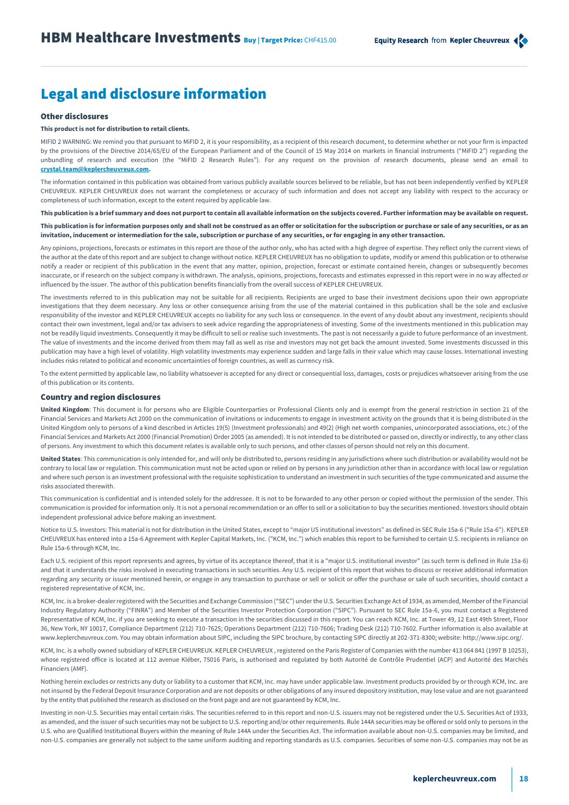# Legal and disclosure information

## Other disclosures

### **This product is not for distribution to retail clients.**

MIFID 2 WARNING: We remind you that pursuant to MiFID 2, it is your responsibility, as a recipient of this research document, to determine whether or not your firm is impacted by the provisions of the Directive 2014/65/EU of the European Parliament and of the Council of 15 May 2014 on markets in financial instruments ("MiFID 2") regarding the unbundling of research and execution (the "MiFID 2 Research Rules"). For any request on the provision of research documents, please send an email to **[crystal.team@keplercheuvreux.com.](mailto:crystal.team@keplercheuvreux.com)**

The information contained in this publication was obtained from various publicly available sources believed to be reliable, but has not been independently verified by KEPLER CHEUVREUX. KEPLER CHEUVREUX does not warrant the completeness or accuracy of such information and does not accept any liability with respect to the accuracy or completeness of such information, except to the extent required by applicable law.

**This publication is a brief summary and does not purport to contain all available information on the subjects covered. Further information may be available on request. This publication is for information purposes only and shall not be construed as an offer or solicitation for the subscription or purchase or sale of any securities, or as an invitation, inducement or intermediation for the sale, subscription or purchase of any securities, or for engaging in any other transaction.**

Any opinions, projections, forecasts or estimates in this report are those of the author only, who has acted with a high degree of expertise. They reflect only the current views of the author at the date of this report and are subject to change without notice. KEPLER CHEUVREUX has no obligation to update, modify or amend this publication or to otherwise notify a reader or recipient of this publication in the event that any matter, opinion, projection, forecast or estimate contained herein, changes or subsequently becomes inaccurate, or if research on the subject company is withdrawn. The analysis, opinions, projections, forecasts and estimates expressed in this report were in no way affected or influenced by the issuer. The author of this publication benefits financially from the overall success of KEPLER CHEUVREUX.

The investments referred to in this publication may not be suitable for all recipients. Recipients are urged to base their investment decisions upon their own appropriate investigations that they deem necessary. Any loss or other consequence arising from the use of the material contained in this publication shall be the sole and exclusive responsibility of the investor and KEPLER CHEUVREUX accepts no liability for any such loss or consequence. In the event of any doubt about any investment, recipients should contact their own investment, legal and/or tax advisers to seek advice regarding the appropriateness of investing. Some of the investments mentioned in this publication may not be readily liquid investments. Consequently it may be difficult to sell or realise such investments. The past is not necessarily a guide to future performance of an investment. The value of investments and the income derived from them may fall as well as rise and investors may not get back the amount invested. Some investments discussed in this publication may have a high level of volatility. High volatility investments may experience sudden and large falls in their value which may cause losses. International investing includes risks related to political and economic uncertainties of foreign countries, as well as currency risk.

To the extent permitted by applicable law, no liability whatsoever is accepted for any direct or consequential loss, damages, costs or prejudices whatsoever arising from the use of this publication or its contents.

### Country and region disclosures

**United Kingdom**: This document is for persons who are Eligible Counterparties or Professional Clients only and is exempt from the general restriction in section 21 of the Financial Services and Markets Act 2000 on the communication of invitations or inducements to engage in investment activity on the grounds that it is being distributed in the United Kingdom only to persons of a kind described in Articles 19(5) (Investment professionals) and 49(2) (High net worth companies, unincorporated associations, etc.) of the Financial Services and Markets Act 2000 (Financial Promotion) Order 2005 (as amended). It is not intended to be distributed or passed on, directly or indirectly, to any other class of persons. Any investment to which this document relates is available only to such persons, and other classes of person should not rely on this document.

**United States**: This communication is only intended for, and will only be distributed to, persons residing in any jurisdictions where such distribution or availability would not be contrary to local law or regulation. This communication must not be acted upon or relied on by persons in any jurisdiction other than in accordance with local law or regulation and where such person is an investment professional with the requisite sophistication to understand an investment in such securities of the type communicated and assume the risks associated therewith.

This communication is confidential and is intended solely for the addressee. It is not to be forwarded to any other person or copied without the permission of the sender. This communication is provided for information only. It is not a personal recommendation or an offer to sell or a solicitation to buy the securities mentioned. Investors should obtain independent professional advice before making an investment.

Notice to U.S. Investors: This material is not for distribution in the United States, except to "major US institutional investors" as defined in SEC Rule 15a-6 ("Rule 15a-6"). KEPLER CHEUVREUX has entered into a 15a-6 Agreement with Kepler Capital Markets, Inc. ("KCM, Inc.") which enables this report to be furnished to certain U.S. recipients in reliance on Rule 15a-6 through KCM, Inc.

Each U.S. recipient of this report represents and agrees, by virtue of its acceptance thereof, that it is a "major U.S. institutional investor" (as such term is defined in Rule 15a-6) and that it understands the risks involved in executing transactions in such securities. Any U.S. recipient of this report that wishes to discuss or receive additional information regarding any security or issuer mentioned herein, or engage in any transaction to purchase or sell or solicit or offer the purchase or sale of such securities, should contact a registered representative of KCM, Inc.

KCM, Inc. is a broker-dealer registered with the Securities and Exchange Commission ("SEC") under the U.S. Securities Exchange Act of 1934, as amended, Member of the Financial Industry Regulatory Authority ("FINRA") and Member of the Securities Investor Protection Corporation ("SIPC"). Pursuant to SEC Rule 15a-6, you must contact a Registered Representative of KCM, Inc. if you are seeking to execute a transaction in the securities discussed in this report. You can reach KCM, Inc. at Tower 49, 12 East 49th Street, Floor 36, New York, NY 10017, Compliance Department (212) 710-7625; Operations Department (212) 710-7606; Trading Desk (212) 710-7602. Further information is also available at www.keplercheuvreux.com. You may obtain information about SIPC, including the SIPC brochure, by contacting SIPC directly at 202-371-8300; website: http://www.sipc.org/.

KCM, Inc. is a wholly owned subsidiary of KEPLER CHEUVREUX. KEPLER CHEUVREUX , registered on the Paris Register of Companies with the number 413 064 841 (1997 B 10253), whose registered office is located at 112 avenue Kléber, 75016 Paris, is authorised and regulated by both Autorité de Contrôle Prudentiel (ACP) and Autorité des Marchés Financiers (AMF).

Nothing herein excludes or restricts any duty or liability to a customer that KCM, Inc. may have under applicable law. Investment products provided by or through KCM, Inc. are not insured by the Federal Deposit Insurance Corporation and are not deposits or other obligations of any insured depository institution, may lose value and are not guaranteed by the entity that published the research as disclosed on the front page and are not guaranteed by KCM, Inc.

Investing in non-U.S. Securities may entail certain risks. The securities referred to in this report and non-U.S. issuers may not be registered under the U.S. Securities Act of 1933, as amended, and the issuer of such securities may not be subject to U.S. reporting and/or other requirements. Rule 144A securities may be offered or sold only to persons in the U.S. who are Qualified Institutional Buyers within the meaning of Rule 144A under the Securities Act. The information available about non-U.S. companies may be limited, and non-U.S. companies are generally not subject to the same uniform auditing and reporting standards as U.S. companies. Securities of some non-U.S. companies may not be as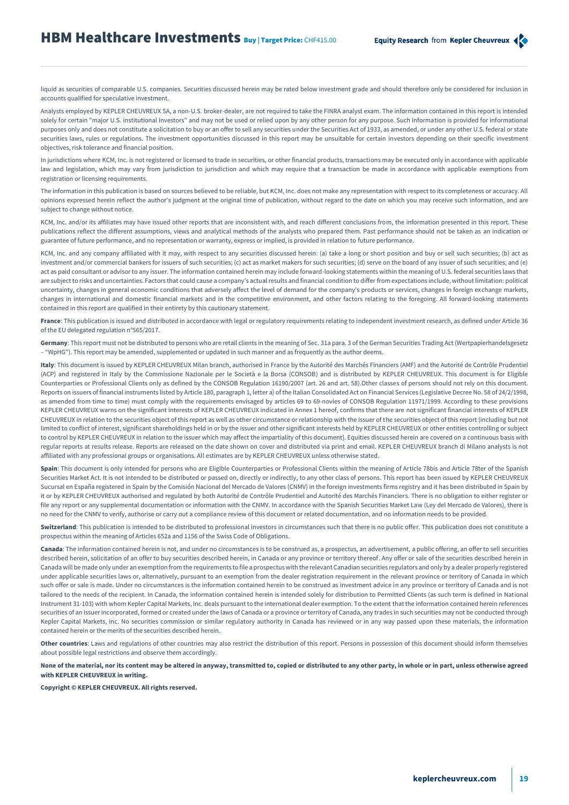liquid as securities of comparable U.S. companies. Securities discussed herein may be rated below investment grade and should therefore only be considered for inclusion in accounts qualified for speculative investment.

Analysts employed by KEPLER CHEUVREUX SA, a non-U.S. broker-dealer, are not required to take the FINRA analyst exam. The information contained in this report is intended solely for certain "major U.S. institutional investors" and may not be used or relied upon by any other person for any purpose. Such information is provided for informational purposes only and does not constitute a solicitation to buy or an offer to sell any securities under the Securities Act of 1933, as amended, or under any other U.S. federal or state securities laws, rules or regulations. The investment opportunities discussed in this report may be unsuitable for certain investors depending on their specific investment objectives, risk tolerance and financial position.

In jurisdictions where KCM, Inc. is not registered or licensed to trade in securities, or other financial products, transactions may be executed only in accordance with applicable law and legislation, which may vary from jurisdiction to jurisdiction and which may require that a transaction be made in accordance with applicable exemptions from registration or licensing requirements.

The information in this publication is based on sources believed to be reliable, but KCM, Inc. does not make any representation with respect to its completeness or accuracy. All opinions expressed herein reflect the author's judgment at the original time of publication, without regard to the date on which you may receive such information, and are subject to change without notice.

KCM, Inc. and/or its affiliates may have issued other reports that are inconsistent with, and reach different conclusions from, the information presented in this report. These publications reflect the different assumptions, views and analytical methods of the analysts who prepared them. Past performance should not be taken as an indication or guarantee of future performance, and no representation or warranty, express or implied, is provided in relation to future performance.

KCM, Inc. and any company affiliated with it may, with respect to any securities discussed herein: (a) take a long or short position and buy or sell such securities; (b) act as investment and/or commercial bankers for issuers of such securities; (c) act as market makers for such securities; (d) serve on the board of any issuer of such securities; and (e) act as paid consultant or advisor to any issuer. The information contained herein may include forward-looking statements within the meaning of U.S. federal securities laws that are subject to risks and uncertainties. Factors that could cause a company's actual results and financial condition to differ from expectations include, without limitation: political uncertainty, changes in general economic conditions that adversely affect the level of demand for the company's products or services, changes in foreign exchange markets, changes in international and domestic financial markets and in the competitive environment, and other factors relating to the foregoing. All forward-looking statements contained in this report are qualified in their entirety by this cautionary statement.

**France**: This publication is issued and distributed in accordance with legal or regulatory requirements relating to independent investment research, as defined under Article 36 of the EU delegated regulation n°565/2017.

**Germany**: This report must not be distributed to persons who are retail clients in the meaning of Sec. 31a para. 3 of the German Securities Trading Act (Wertpapierhandelsgesetz – "WpHG"). This report may be amended, supplemented or updated in such manner and as frequently as the author deems.

**Italy**: This document is issued by KEPLER CHEUVREUX Milan branch, authorised in France by the Autorité des Marchés Financiers (AMF) and the Autorité de Contrôle Prudentiel (ACP) and registered in Italy by the Commissione Nazionale per le Società e la Borsa (CONSOB) and is distributed by KEPLER CHEUVREUX. This document is for Eligible Counterparties or Professional Clients only as defined by the CONSOB Regulation 16190/2007 (art. 26 and art. 58).Other classes of persons should not rely on this document. Reports on issuers of financial instruments listed by Article 180, paragraph 1, letter a) of the Italian Consolidated Act on Financial Services (Legislative Decree No. 58 of 24/2/1998, as amended from time to time) must comply with the requirements envisaged by articles 69 to 69-novies of CONSOB Regulation 11971/1999. According to these provisions KEPLER CHEUVREUX warns on the significant interests of KEPLER CHEUVREUX indicated in Annex 1 hereof, confirms that there are not significant financial interests of KEPLER CHEUVREUX in relation to the securities object of this report as well as other circumstance or relationship with the issuer of the securities object of this report (including but not limited to conflict of interest, significant shareholdings held in or by the issuer and other significant interests held by KEPLER CHEUVREUX or other entities controlling or subject to control by KEPLER CHEUVREUX in relation to the issuer which may affect the impartiality of this document]. Equities discussed herein are covered on a continuous basis with regular reports at results release. Reports are released on the date shown on cover and distributed via print and email. KEPLER CHEUVREUX branch di Milano analysts is not affiliated with any professional groups or organisations. All estimates are by KEPLER CHEUVREUX unless otherwise stated.

Spain: This document is only intended for persons who are Eligible Counterparties or Professional Clients within the meaning of Article 78bis and Article 78ter of the Spanish Securities Market Act. It is not intended to be distributed or passed on, directly or indirectly, to any other class of persons. This report has been issued by KEPLER CHEUVREUX Sucursal en España registered in Spain by the Comisión Nacional del Mercado de Valores (CNMV) in the foreign investments firms registry and it has been distributed in Spain by it or by KEPLER CHEUVREUX authorised and regulated by both Autorité de Contrôle Prudentiel and Autorité des Marchés Financiers. There is no obligation to either register or file any report or any supplemental documentation or information with the CNMV. In accordance with the Spanish Securities Market Law (Ley del Mercado de Valores), there is no need for the CNMV to verify, authorise or carry out a compliance review of this document or related documentation, and no information needs to be provided.

Switzerland: This publication is intended to be distributed to professional investors in circumstances such that there is no public offer. This publication does not constitute a prospectus within the meaning of Articles 652a and 1156 of the Swiss Code of Obligations.

Canada: The information contained herein is not, and under no circumstances is to be construed as, a prospectus, an advertisement, a public offering, an offer to sell securities described herein, solicitation of an offer to buy securities described herein, in Canada or any province or territory thereof. Any offer or sale of the securities described herein in Canada will be made only under an exemption from the requirements to file a prospectus with the relevant Canadian securities regulators and only by a dealer properly registered under applicable securities laws or, alternatively, pursuant to an exemption from the dealer registration requirement in the relevant province or territory of Canada in which such offer or sale is made. Under no circumstances is the information contained herein to be construed as investment advice in any province or territory of Canada and is not tailored to the needs of the recipient. In Canada, the information contained herein is intended solely for distribution to Permitted Clients (as such term is defined in National Instrument 31-103) with whom Kepler Capital Markets, inc. deals pursuant to the international dealer exemption. To the extent that the information contained herein references securities of an issuer incorporated, formed or created under the laws of Canada or a province or territory of Canada, any trades in such securities may not be conducted through Kepler Capital Markets, inc. No securities commission or similar regulatory authority in Canada has reviewed or in any way passed upon these materials, the information contained herein or the merits of the securities described herein.

**Other countries**: Laws and regulations of other countries may also restrict the distribution of this report. Persons in possession of this document should inform themselves about possible legal restrictions and observe them accordingly.

**None of the material, nor its content may be altered in anyway, transmitted to, copied or distributed to any other party, in whole or in part, unless otherwise agreed with KEPLER CHEUVREUX in writing.**

**Copyright © KEPLER CHEUVREUX. All rights reserved.**